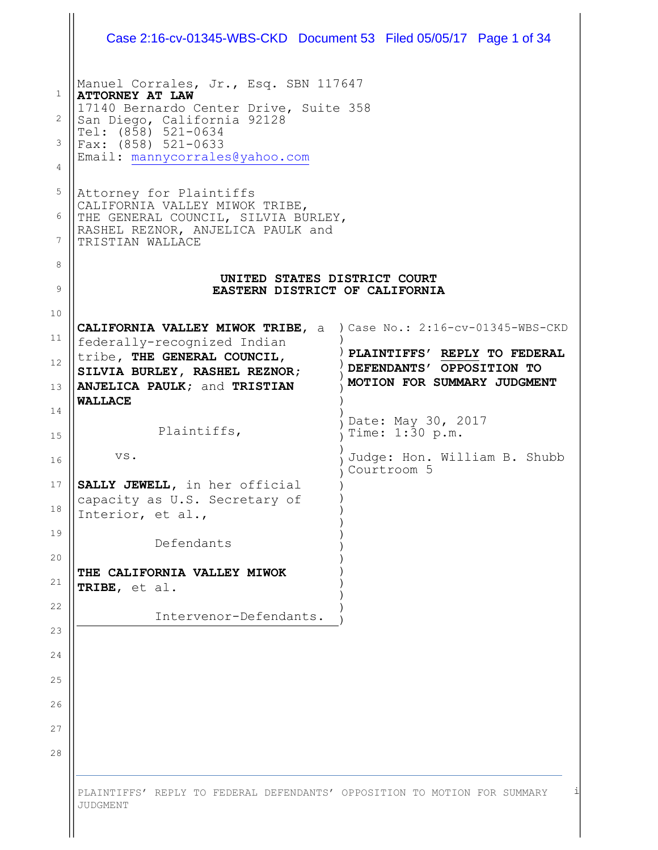| Manuel Corrales, Jr., Esq. SBN 117647<br><b>ATTORNEY AT LAW</b>                                                                |                                                                |
|--------------------------------------------------------------------------------------------------------------------------------|----------------------------------------------------------------|
| 17140 Bernardo Center Drive, Suite 358<br>San Diego, California 92128                                                          |                                                                |
| Tel: (858) 521-0634<br>Fax: (858) 521-0633                                                                                     |                                                                |
| Email: mannycorrales@yahoo.com                                                                                                 |                                                                |
| Attorney for Plaintiffs                                                                                                        |                                                                |
| CALIFORNIA VALLEY MIWOK TRIBE,<br>THE GENERAL COUNCIL, SILVIA BURLEY,<br>RASHEL REZNOR, ANJELICA PAULK and<br>TRISTIAN WALLACE |                                                                |
|                                                                                                                                |                                                                |
|                                                                                                                                | UNITED STATES DISTRICT COURT<br>EASTERN DISTRICT OF CALIFORNIA |
| CALIFORNIA VALLEY MIWOK TRIBE, a                                                                                               | ) Case No.: 2:16-cv-01345-WBS-CKD                              |
| federally-recognized Indian<br>tribe, THE GENERAL COUNCIL,                                                                     | PLAINTIFFS' REPLY TO FEDERAL                                   |
| SILVIA BURLEY, RASHEL REZNOR;<br>ANJELICA PAULK; and TRISTIAN                                                                  | DEFENDANTS' OPPOSITION TO<br>MOTION FOR SUMMARY JUDGMENT       |
| <b>WALLACE</b>                                                                                                                 |                                                                |
| Plaintiffs,                                                                                                                    | Date: May 30, 2017<br>Time: 1:30 p.m.                          |
| VS.                                                                                                                            | Judge: Hon. William B. Shubb<br>Courtroom 5                    |
| SALLY JEWELL, in her official<br>capacity as U.S. Secretary of                                                                 |                                                                |
| Interior, et al.,                                                                                                              |                                                                |
| Defendants                                                                                                                     |                                                                |
| THE CALIFORNIA VALLEY MIWOK<br>TRIBE, et al.                                                                                   |                                                                |
| Intervenor-Defendants.                                                                                                         |                                                                |
|                                                                                                                                |                                                                |
|                                                                                                                                |                                                                |
|                                                                                                                                |                                                                |
|                                                                                                                                |                                                                |
|                                                                                                                                |                                                                |
|                                                                                                                                |                                                                |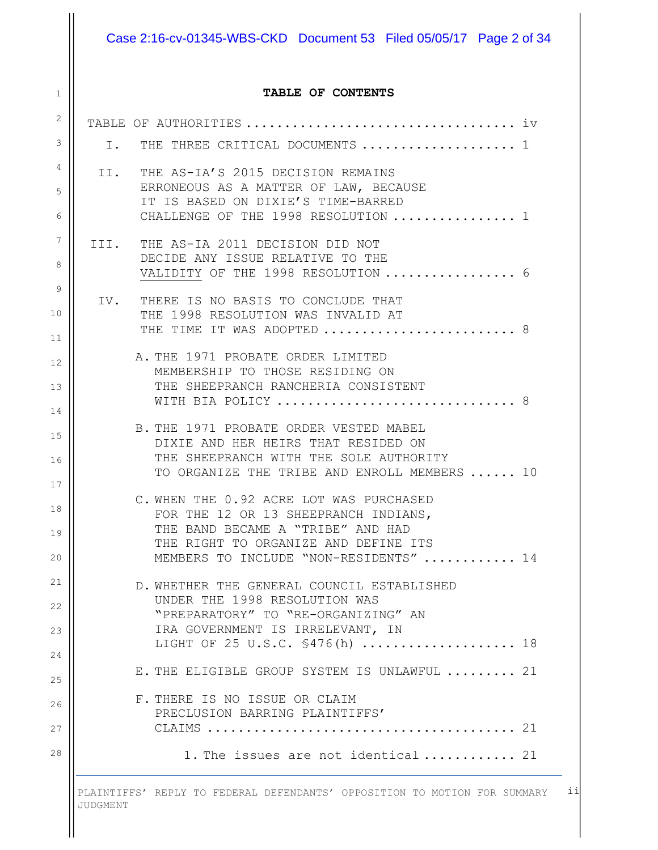### Case 2:16-cv-01345-WBS-CKD Document 53 Filed 05/05/17 Page 2 of 34

#### **TABLE OF CONTENTS**

1

| $\mathbf{2}^{\prime}$ |    |                                                                                        |   |
|-----------------------|----|----------------------------------------------------------------------------------------|---|
| 3                     | Ι. | THE THREE CRITICAL DOCUMENTS  1                                                        |   |
| 4                     |    | II. THE AS-IA'S 2015 DECISION REMAINS                                                  |   |
| 5                     |    | ERRONEOUS AS A MATTER OF LAW, BECAUSE<br>IT IS BASED ON DIXIE'S TIME-BARRED            |   |
| 6                     |    | CHALLENGE OF THE 1998 RESOLUTION  1                                                    |   |
| $7\phantom{.0}$       |    | III. THE AS-IA 2011 DECISION DID NOT                                                   |   |
| 8                     |    | DECIDE ANY ISSUE RELATIVE TO THE<br>VALIDITY OF THE 1998 RESOLUTION  6                 |   |
| 9                     |    | IV. THERE IS NO BASIS TO CONCLUDE THAT                                                 |   |
| 10                    |    | THE 1998 RESOLUTION WAS INVALID AT                                                     |   |
| 11                    |    | THE TIME IT WAS ADOPTED  8                                                             |   |
| 12                    |    | A. THE 1971 PROBATE ORDER LIMITED<br>MEMBERSHIP TO THOSE RESIDING ON                   |   |
| 13                    |    | THE SHEEPRANCH RANCHERIA CONSISTENT<br>WITH BIA POLICY                                 | 8 |
| 14                    |    |                                                                                        |   |
| 15                    |    | B. THE 1971 PROBATE ORDER VESTED MABEL<br>DIXIE AND HER HEIRS THAT RESIDED ON          |   |
| 16                    |    | THE SHEEPRANCH WITH THE SOLE AUTHORITY<br>TO ORGANIZE THE TRIBE AND ENROLL MEMBERS  10 |   |
| 17                    |    | C. WHEN THE 0.92 ACRE LOT WAS PURCHASED                                                |   |
| 18                    |    | FOR THE 12 OR 13 SHEEPRANCH INDIANS,                                                   |   |
| 19                    |    | THE BAND BECAME A "TRIBE" AND HAD<br>THE RIGHT TO ORGANIZE AND DEFINE ITS              |   |
| 20                    |    | MEMBERS TO INCLUDE "NON-RESIDENTS"  14                                                 |   |
| 21                    |    | D. WHETHER THE GENERAL COUNCIL ESTABLISHED                                             |   |
| 22                    |    | UNDER THE 1998 RESOLUTION WAS<br>"PREPARATORY" TO "RE-ORGANIZING" AN                   |   |
| 23                    |    | IRA GOVERNMENT IS IRRELEVANT, IN                                                       |   |
| 24                    |    | LIGHT OF 25 U.S.C. \$476(h)  18                                                        |   |
| 25                    |    | E. THE ELIGIBLE GROUP SYSTEM IS UNLAWFUL  21                                           |   |
| 26                    |    | F. THERE IS NO ISSUE OR CLAIM<br>PRECLUSION BARRING PLAINTIFFS'                        |   |
| 27                    |    |                                                                                        |   |
| 28                    |    | 1. The issues are not identical 21                                                     |   |
|                       |    |                                                                                        |   |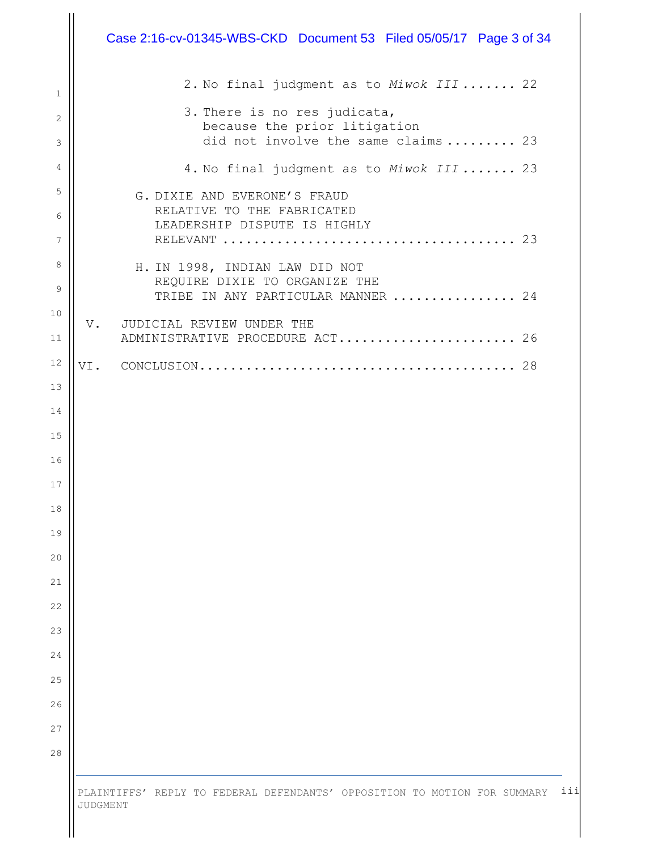|    | Case 2:16-cv-01345-WBS-CKD Document 53 Filed 05/05/17 Page 3 of 34  |
|----|---------------------------------------------------------------------|
|    | 2. No final judgment as to Miwok III  22                            |
|    | 3. There is no res judicata,                                        |
|    | because the prior litigation<br>did not involve the same claims  23 |
|    | 4. No final judgment as to Miwok III  23                            |
|    | G. DIXIE AND EVERONE'S FRAUD                                        |
|    | RELATIVE TO THE FABRICATED<br>LEADERSHIP DISPUTE IS HIGHLY          |
|    |                                                                     |
|    | H. IN 1998, INDIAN LAW DID NOT                                      |
|    | REQUIRE DIXIE TO ORGANIZE THE<br>TRIBE IN ANY PARTICULAR MANNER  24 |
| V. | JUDICIAL REVIEW UNDER THE                                           |
|    | ADMINISTRATIVE PROCEDURE ACT 26                                     |
|    |                                                                     |
|    |                                                                     |
|    |                                                                     |
|    |                                                                     |
|    |                                                                     |
|    |                                                                     |
|    |                                                                     |
|    |                                                                     |
|    |                                                                     |
|    |                                                                     |
|    |                                                                     |
|    |                                                                     |
|    |                                                                     |
|    |                                                                     |
|    |                                                                     |
|    |                                                                     |
|    |                                                                     |

 $\mathop{\rm II}\nolimits$ 

iii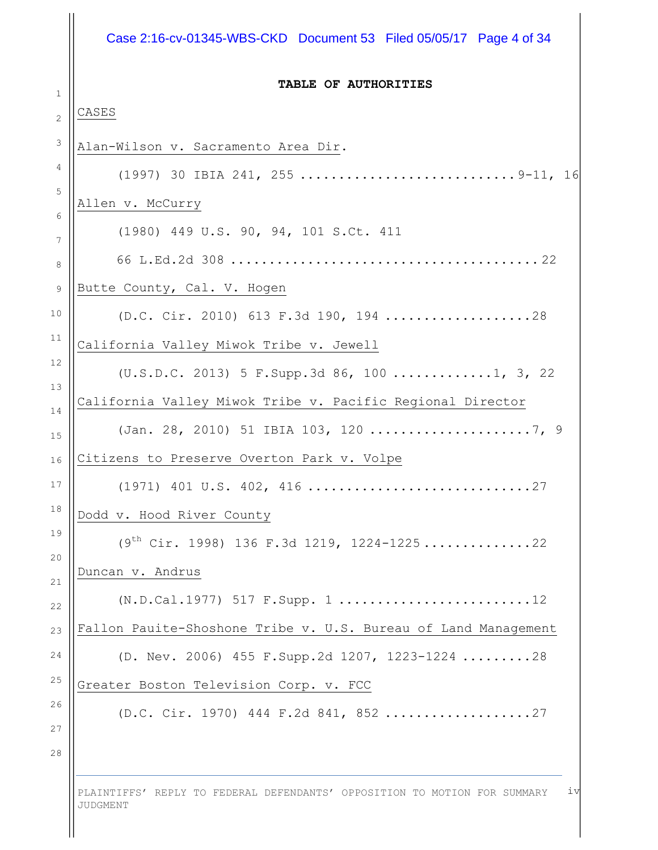#### Case 2:16-cv-01345-WBS-CKD Document 53 Filed 05/05/17 Page 4 of 34

#### **TABLE OF AUTHORITIES**

#### CASES

1

2 3 4 5 6 7 8 9 10 11 12 13 14 15 16 17 18 19 20 21 22 23 24 25 26 27 28 Alan-Wilson v. Sacramento Area Dir. (1997) 30 IBIA 241, 255 ............................9-11, 16 Allen v. McCurry (1980) 449 U.S. 90, 94, 101 S.Ct. 411 66 L.Ed.2d 308 ........................................ 22 Butte County, Cal. V. Hogen (D.C. Cir. 2010) 613 F.3d 190, 194 ...................28 California Valley Miwok Tribe v. Jewell (U.S.D.C. 2013) 5 F.Supp.3d 86, 100 .............1, 3, 22 California Valley Miwok Tribe v. Pacific Regional Director (Jan. 28, 2010) 51 IBIA 103, 120 .....................7, 9 Citizens to Preserve Overton Park v. Volpe (1971) 401 U.S. 402, 416 .............................27 Dodd v. Hood River County  $(9<sup>th</sup> Cir. 1998)$  136 F.3d 1219, 1224-1225................22 Duncan v. Andrus (N.D.Cal.1977) 517 F.Supp. 1 .........................12 Fallon Pauite-Shoshone Tribe v. U.S. Bureau of Land Management (D. Nev. 2006) 455 F.Supp.2d 1207, 1223-1224 .........28 Greater Boston Television Corp. v. FCC (D.C. Cir. 1970) 444 F.2d 841, 852 ...................27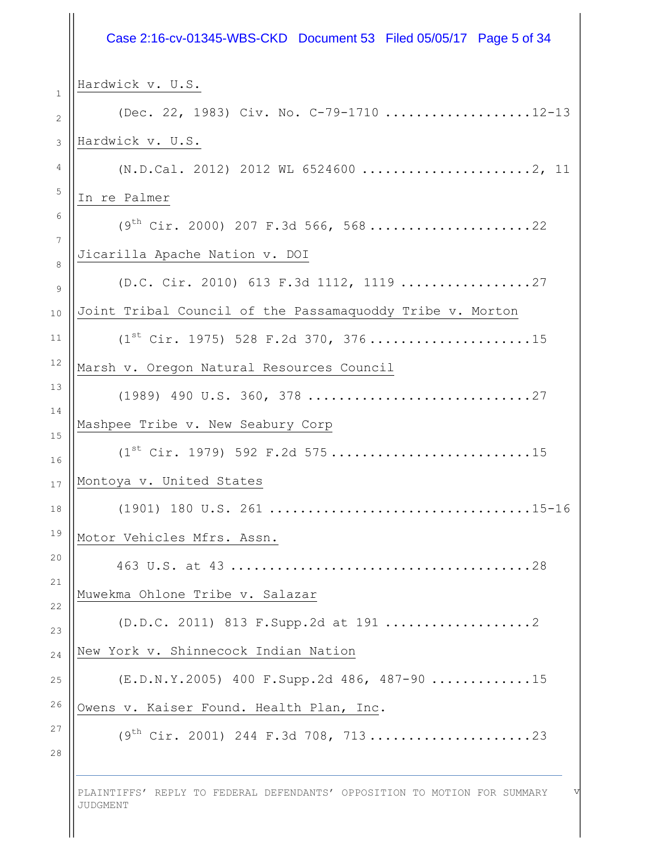# Case 2:16-cv-01345-WBS-CKD Document 53 Filed 05/05/17 Page 5 of 34

 $H_0$  reduced v.  $H_0$ 

| Hardwick v. U.S.                                                          |
|---------------------------------------------------------------------------|
| (Dec. 22, 1983) Civ. No. C-79-1710 12-13                                  |
| Hardwick v. U.S.                                                          |
| $(N.D.Cal. 2012) 2012 WL 6524600      2, 11$                              |
| In re Palmer                                                              |
| $(9th Cir. 2000) 207 F.3d 566, 568$ 22                                    |
| Jicarilla Apache Nation v. DOI                                            |
| (D.C. Cir. 2010) 613 F.3d 1112, 1119 27                                   |
| Joint Tribal Council of the Passamaquoddy Tribe v. Morton                 |
| $(1^{st}$ Cir. 1975) 528 F.2d 370, 37615                                  |
| Marsh v. Oregon Natural Resources Council                                 |
|                                                                           |
| Mashpee Tribe v. New Seabury Corp                                         |
| $(1^{st}$ Cir. 1979) 592 F.2d 57515                                       |
| Montoya v. United States                                                  |
|                                                                           |
| Motor Vehicles Mfrs. Assn.                                                |
| .28<br>463 U.S. at 43.                                                    |
| Muwekma Ohlone Tribe v. Salazar                                           |
|                                                                           |
| New York v. Shinnecock Indian Nation                                      |
| $(E.D.N.Y.2005)$ 400 $F.Supp.2d$ 486, 487-90 15                           |
| Owens v. Kaiser Found. Health Plan, Inc.                                  |
| $(9th Cir. 2001) 244 F.3d 708, 71323$                                     |
| PLAINTIFFS' REPLY TO FEDERAL DEFENDANTS' OPPOSITION TO MOTION FOR SUMMARY |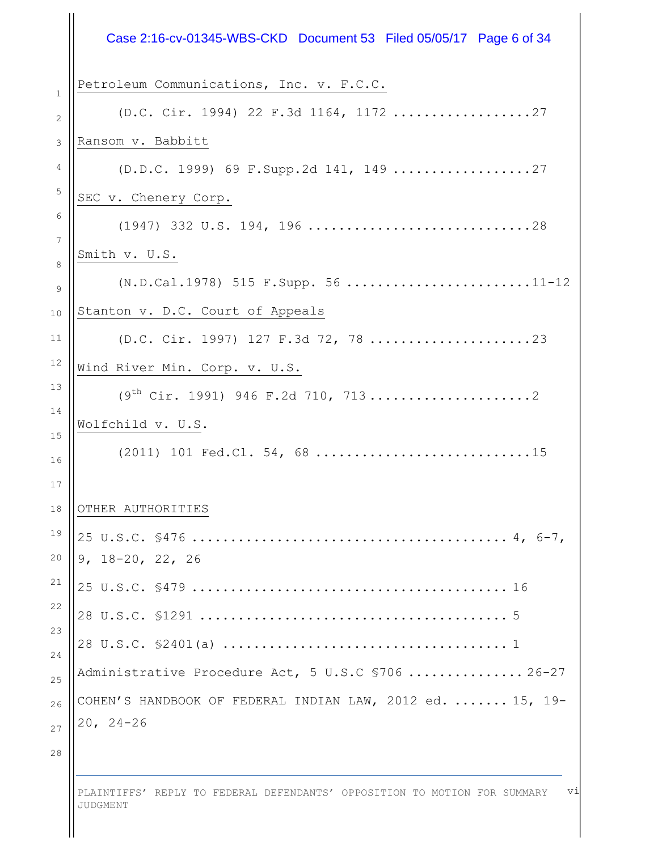|                      | Case 2:16-cv-01345-WBS-CKD Document 53 Filed 05/05/17 Page 6 of 34 |
|----------------------|--------------------------------------------------------------------|
| $\mathbf{1}$         | Petroleum Communications, Inc. v. F.C.C.                           |
| 2                    | (D.C. Cir. 1994) 22 F.3d 1164, 1172 27                             |
| 3                    | Ransom v. Babbitt                                                  |
| 4                    |                                                                    |
| $\overline{5}$       | SEC v. Chenery Corp.                                               |
| 6                    | $(1947)$ 332 U.S. 194, 196 28                                      |
| $7\phantom{.0}$<br>8 | Smith v. U.S.                                                      |
| 9                    | (N.D.Cal.1978) 515 F.Supp. 56 11-12                                |
| 10                   | Stanton v. D.C. Court of Appeals                                   |
| 11                   | (D.C. Cir. 1997) 127 F.3d 72, 78 23                                |
| 12                   | Wind River Min. Corp. v. U.S.                                      |
| 13                   | $(9th Cir. 1991) 946 F.2d 710, 7132$                               |
| 14                   | Wolfchild v. U.S.                                                  |
| 15<br>16             | (2011) 101 Fed.Cl. 54, 68 15                                       |
| 17                   |                                                                    |
| 18                   | OTHER AUTHORITIES                                                  |
| 19                   |                                                                    |
| 20                   | $9, 18 - 20, 22, 26$                                               |
| 21                   |                                                                    |
| 22<br>23             |                                                                    |
| 24                   |                                                                    |
| 25                   | Administrative Procedure Act, 5 U.S.C \$706  26-27                 |
| 26                   | COHEN'S HANDBOOK OF FEDERAL INDIAN LAW, 2012 ed.  15, 19-          |
| 27                   | $20, 24 - 26$                                                      |
| $2\,8$               |                                                                    |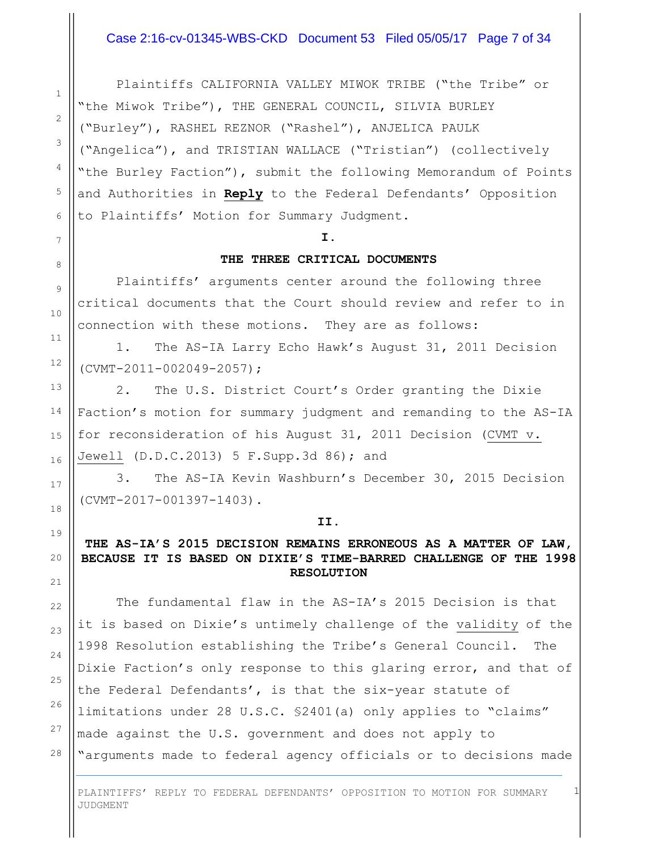#### Case 2:16-cv-01345-WBS-CKD Document 53 Filed 05/05/17 Page 7 of 34

Plaintiffs CALIFORNIA VALLEY MIWOK TRIBE ("the Tribe" or "the Miwok Tribe"), THE GENERAL COUNCIL, SILVIA BURLEY ("Burley"), RASHEL REZNOR ("Rashel"), ANJELICA PAULK ("Angelica"), and TRISTIAN WALLACE ("Tristian") (collectively "the Burley Faction"), submit the following Memorandum of Points and Authorities in **Reply** to the Federal Defendants' Opposition to Plaintiffs' Motion for Summary Judgment.

#### **I.**

#### **THE THREE CRITICAL DOCUMENTS**

Plaintiffs' arguments center around the following three critical documents that the Court should review and refer to in connection with these motions. They are as follows:

1. The AS-IA Larry Echo Hawk's August 31, 2011 Decision (CVMT-2011-002049-2057);

2. The U.S. District Court's Order granting the Dixie Faction's motion for summary judgment and remanding to the AS-IA for reconsideration of his August 31, 2011 Decision (CVMT v. Jewell (D.D.C.2013) 5 F.Supp.3d 86); and

3. The AS-IA Kevin Washburn's December 30, 2015 Decision (CVMT-2017-001397-1403).

#### **II.**

#### **THE AS-IA'S 2015 DECISION REMAINS ERRONEOUS AS A MATTER OF LAW, BECAUSE IT IS BASED ON DIXIE'S TIME-BARRED CHALLENGE OF THE 1998 RESOLUTION**

The fundamental flaw in the AS-IA's 2015 Decision is that it is based on Dixie's untimely challenge of the validity of the 1998 Resolution establishing the Tribe's General Council. The Dixie Faction's only response to this glaring error, and that of the Federal Defendants', is that the six-year statute of limitations under 28 U.S.C. §2401(a) only applies to "claims" made against the U.S. government and does not apply to "arguments made to federal agency officials or to decisions made

PLAINTIFFS' REPLY TO FEDERAL DEFENDANTS' OPPOSITION TO MOTION FOR SUMMARY JUDGMENT

1

27

28

1

2

3

4

5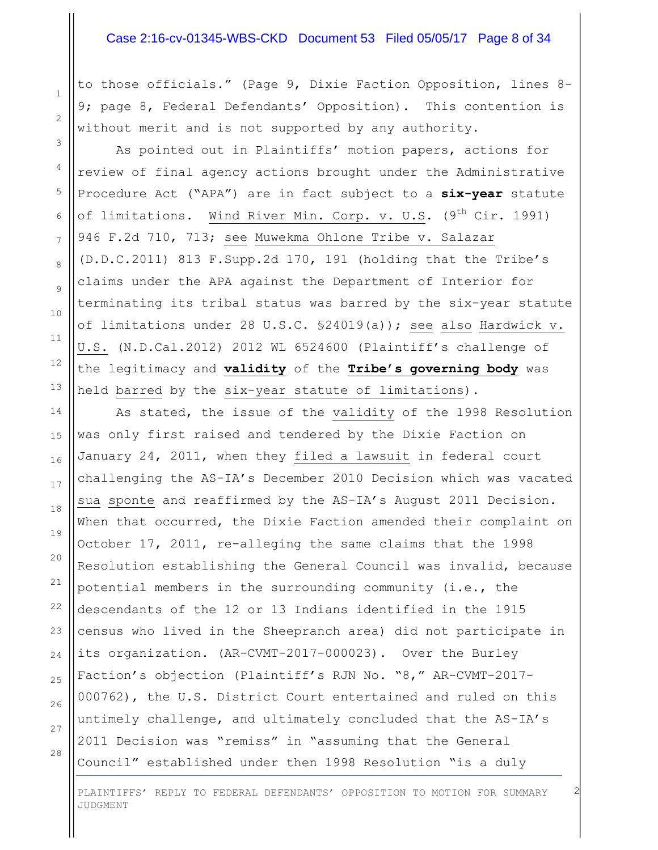#### Case 2:16-cv-01345-WBS-CKD Document 53 Filed 05/05/17 Page 8 of 34

to those officials." (Page 9, Dixie Faction Opposition, lines 8- 9; page 8, Federal Defendants' Opposition). This contention is without merit and is not supported by any authority.

As pointed out in Plaintiffs' motion papers, actions for review of final agency actions brought under the Administrative Procedure Act ("APA") are in fact subject to a **six-year** statute of limitations. Wind River Min. Corp. v. U.S. (9<sup>th</sup> Cir. 1991) 946 F.2d 710, 713; see Muwekma Ohlone Tribe v. Salazar (D.D.C.2011) 813 F.Supp.2d 170, 191 (holding that the Tribe's claims under the APA against the Department of Interior for terminating its tribal status was barred by the six-year statute of limitations under 28 U.S.C. §24019(a)); see also Hardwick v. U.S. (N.D.Cal.2012) 2012 WL 6524600 (Plaintiff's challenge of the legitimacy and **validity** of the **Tribe's governing body** was held barred by the six-year statute of limitations).

As stated, the issue of the validity of the 1998 Resolution was only first raised and tendered by the Dixie Faction on January 24, 2011, when they filed a lawsuit in federal court challenging the AS-IA's December 2010 Decision which was vacated sua sponte and reaffirmed by the AS-IA's August 2011 Decision. When that occurred, the Dixie Faction amended their complaint on October 17, 2011, re-alleging the same claims that the 1998 Resolution establishing the General Council was invalid, because potential members in the surrounding community (i.e., the descendants of the 12 or 13 Indians identified in the 1915 census who lived in the Sheepranch area) did not participate in its organization. (AR-CVMT-2017-000023). Over the Burley Faction's objection (Plaintiff's RJN No. "8," AR-CVMT-2017- 000762), the U.S. District Court entertained and ruled on this untimely challenge, and ultimately concluded that the AS-IA's 2011 Decision was "remiss" in "assuming that the General Council" established under then 1998 Resolution "is a duly

28

1

2

3

4

5

6

7

8

9

PLAINTIFFS' REPLY TO FEDERAL DEFENDANTS' OPPOSITION TO MOTION FOR SUMMARY JUDGMENT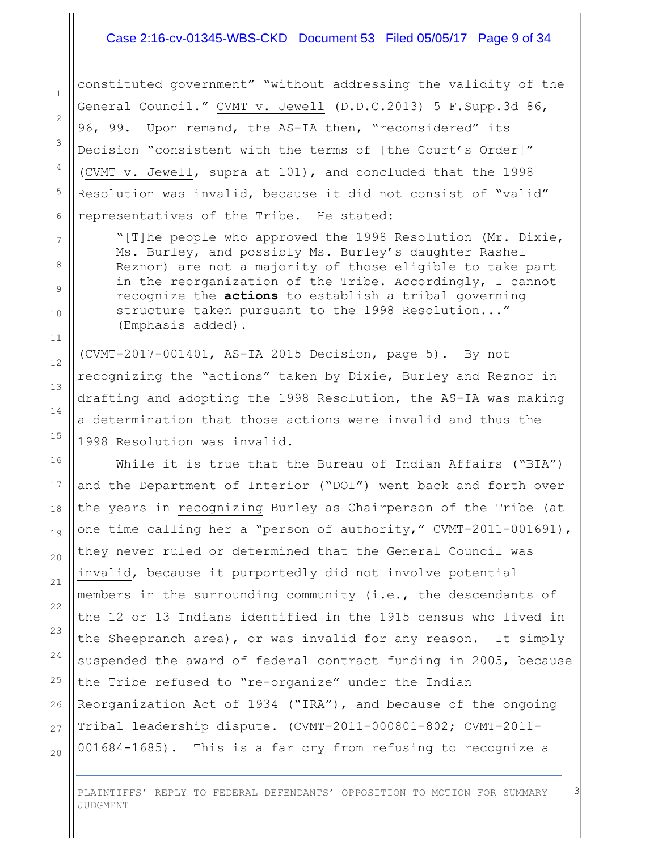#### Case 2:16-cv-01345-WBS-CKD Document 53 Filed 05/05/17 Page 9 of 34

constituted government" "without addressing the validity of the General Council." CVMT v. Jewell (D.D.C.2013) 5 F.Supp.3d 86, 96, 99. Upon remand, the AS-IA then, "reconsidered" its Decision "consistent with the terms of [the Court's Order]" (CVMT v. Jewell, supra at 101), and concluded that the 1998 Resolution was invalid, because it did not consist of "valid" representatives of the Tribe. He stated:

1

2

3

4

5

6

7

8

9

10

11

12

13

14

15

16

17

18

19

20

21

22

23

24

25

26

27

28

"[T]he people who approved the 1998 Resolution (Mr. Dixie, Ms. Burley, and possibly Ms. Burley's daughter Rashel Reznor) are not a majority of those eligible to take part in the reorganization of the Tribe. Accordingly, I cannot recognize the **actions** to establish a tribal governing structure taken pursuant to the 1998 Resolution..." (Emphasis added).

(CVMT-2017-001401, AS-IA 2015 Decision, page 5). By not recognizing the "actions" taken by Dixie, Burley and Reznor in drafting and adopting the 1998 Resolution, the AS-IA was making a determination that those actions were invalid and thus the 1998 Resolution was invalid.

While it is true that the Bureau of Indian Affairs ("BIA") and the Department of Interior ("DOI") went back and forth over the years in recognizing Burley as Chairperson of the Tribe (at one time calling her a "person of authority," CVMT-2011-001691), they never ruled or determined that the General Council was invalid, because it purportedly did not involve potential members in the surrounding community (i.e., the descendants of the 12 or 13 Indians identified in the 1915 census who lived in the Sheepranch area), or was invalid for any reason. It simply suspended the award of federal contract funding in 2005, because the Tribe refused to "re-organize" under the Indian Reorganization Act of 1934 ("IRA"), and because of the ongoing Tribal leadership dispute. (CVMT-2011-000801-802; CVMT-2011- 001684-1685). This is a far cry from refusing to recognize a

PLAINTIFFS' REPLY TO FEDERAL DEFENDANTS' OPPOSITION TO MOTION FOR SUMMARY JUDGMENT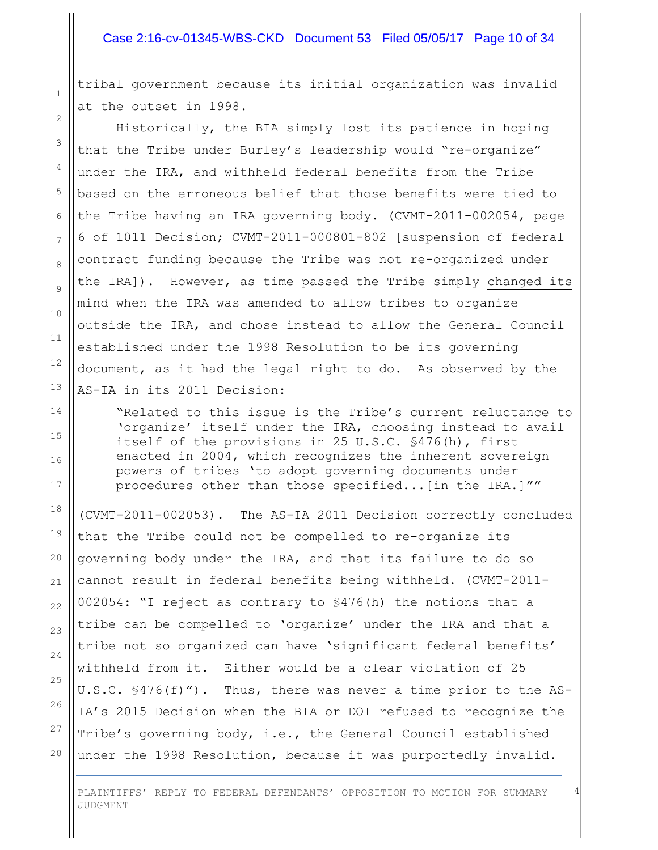#### Case 2:16-cv-01345-WBS-CKD Document 53 Filed 05/05/17 Page 10 of 34

tribal government because its initial organization was invalid at the outset in 1998.

Historically, the BIA simply lost its patience in hoping that the Tribe under Burley's leadership would "re-organize" under the IRA, and withheld federal benefits from the Tribe based on the erroneous belief that those benefits were tied to the Tribe having an IRA governing body. (CVMT-2011-002054, page 6 of 1011 Decision; CVMT-2011-000801-802 [suspension of federal contract funding because the Tribe was not re-organized under the IRA]). However, as time passed the Tribe simply changed its mind when the IRA was amended to allow tribes to organize outside the IRA, and chose instead to allow the General Council established under the 1998 Resolution to be its governing document, as it had the legal right to do. As observed by the AS-IA in its 2011 Decision:

"Related to this issue is the Tribe's current reluctance to 'organize' itself under the IRA, choosing instead to avail itself of the provisions in 25 U.S.C. §476(h), first enacted in 2004, which recognizes the inherent sovereign powers of tribes 'to adopt governing documents under procedures other than those specified...[in the IRA.]""

(CVMT-2011-002053). The AS-IA 2011 Decision correctly concluded that the Tribe could not be compelled to re-organize its governing body under the IRA, and that its failure to do so cannot result in federal benefits being withheld. (CVMT-2011- 002054: "I reject as contrary to §476(h) the notions that a tribe can be compelled to 'organize' under the IRA and that a tribe not so organized can have 'significant federal benefits' withheld from it. Either would be a clear violation of 25 U.S.C. §476(f)"). Thus, there was never a time prior to the AS-IA's 2015 Decision when the BIA or DOI refused to recognize the Tribe's governing body, i.e., the General Council established under the 1998 Resolution, because it was purportedly invalid.

PLAINTIFFS' REPLY TO FEDERAL DEFENDANTS' OPPOSITION TO MOTION FOR SUMMARY JUDGMENT

4

1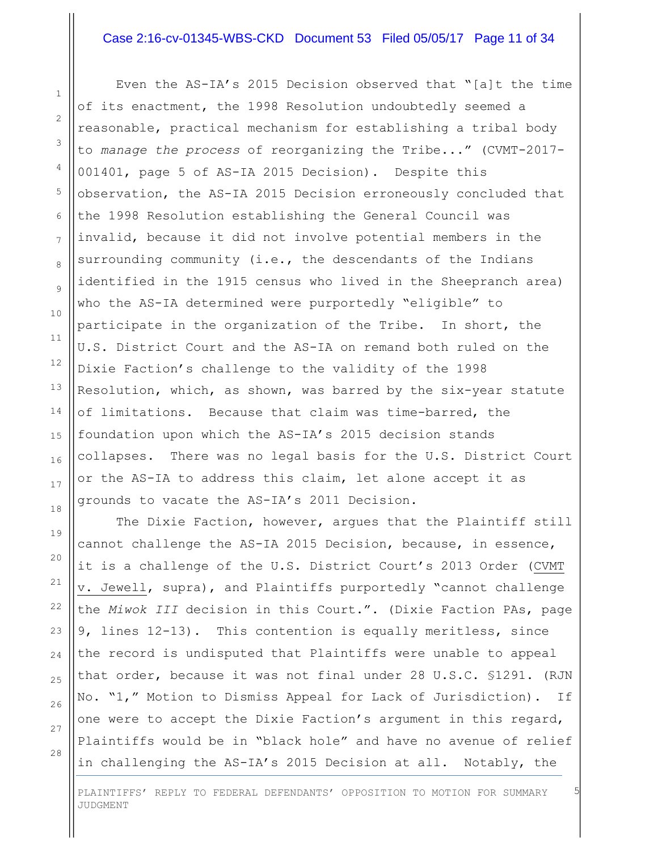#### Case 2:16-cv-01345-WBS-CKD Document 53 Filed 05/05/17 Page 11 of 34

Even the AS-IA's 2015 Decision observed that "[a]t the time of its enactment, the 1998 Resolution undoubtedly seemed a reasonable, practical mechanism for establishing a tribal body to *manage the process* of reorganizing the Tribe..." (CVMT-2017- 001401, page 5 of AS-IA 2015 Decision). Despite this observation, the AS-IA 2015 Decision erroneously concluded that the 1998 Resolution establishing the General Council was invalid, because it did not involve potential members in the surrounding community (i.e., the descendants of the Indians identified in the 1915 census who lived in the Sheepranch area) who the AS-IA determined were purportedly "eligible" to participate in the organization of the Tribe. In short, the U.S. District Court and the AS-IA on remand both ruled on the Dixie Faction's challenge to the validity of the 1998 Resolution, which, as shown, was barred by the six-year statute of limitations. Because that claim was time-barred, the foundation upon which the AS-IA's 2015 decision stands collapses. There was no legal basis for the U.S. District Court or the AS-IA to address this claim, let alone accept it as grounds to vacate the AS-IA's 2011 Decision.

The Dixie Faction, however, argues that the Plaintiff still cannot challenge the AS-IA 2015 Decision, because, in essence, it is a challenge of the U.S. District Court's 2013 Order (CVMT v. Jewell, supra), and Plaintiffs purportedly "cannot challenge the *Miwok III* decision in this Court.". (Dixie Faction PAs, page 9, lines 12-13). This contention is equally meritless, since the record is undisputed that Plaintiffs were unable to appeal that order, because it was not final under 28 U.S.C. §1291. (RJN No. "1," Motion to Dismiss Appeal for Lack of Jurisdiction). If one were to accept the Dixie Faction's argument in this regard, Plaintiffs would be in "black hole" and have no avenue of relief in challenging the AS-IA's 2015 Decision at all. Notably, the

1

2

3

4

5

6

7

8

9

10

11

12

13

14

15

16

17

PLAINTIFFS' REPLY TO FEDERAL DEFENDANTS' OPPOSITION TO MOTION FOR SUMMARY JUDGMENT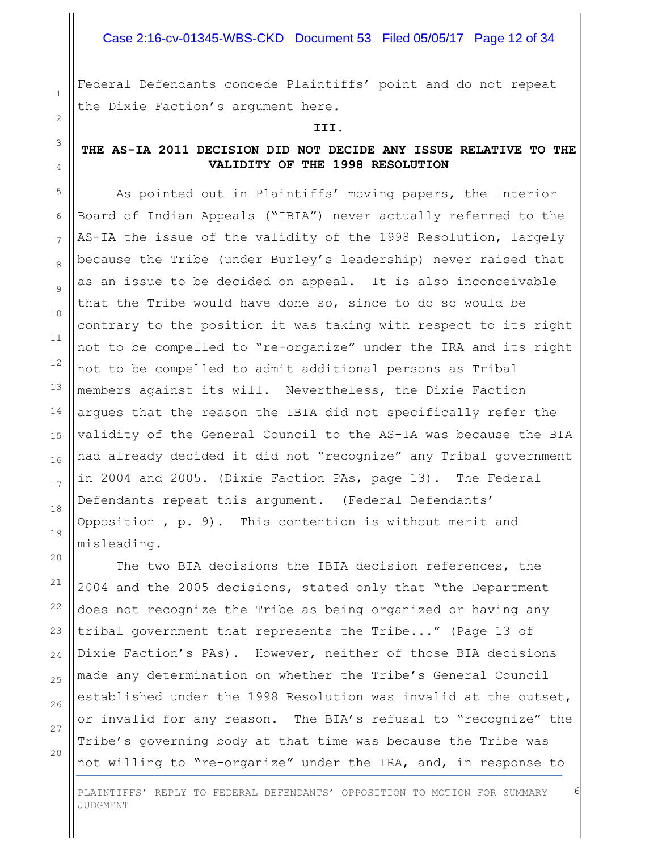#### Case 2:16-cv-01345-WBS-CKD Document 53 Filed 05/05/17 Page 12 of 34

Federal Defendants concede Plaintiffs' point and do not repeat the Dixie Faction's argument here.

**III.**

#### **THE AS-IA 2011 DECISION DID NOT DECIDE ANY ISSUE RELATIVE TO THE VALIDITY OF THE 1998 RESOLUTION**

As pointed out in Plaintiffs' moving papers, the Interior Board of Indian Appeals ("IBIA") never actually referred to the AS-IA the issue of the validity of the 1998 Resolution, largely because the Tribe (under Burley's leadership) never raised that as an issue to be decided on appeal. It is also inconceivable that the Tribe would have done so, since to do so would be contrary to the position it was taking with respect to its right not to be compelled to "re-organize" under the IRA and its right not to be compelled to admit additional persons as Tribal members against its will. Nevertheless, the Dixie Faction argues that the reason the IBIA did not specifically refer the validity of the General Council to the AS-IA was because the BIA had already decided it did not "recognize" any Tribal government in 2004 and 2005. (Dixie Faction PAs, page 13). The Federal Defendants repeat this argument. (Federal Defendants' Opposition , p. 9). This contention is without merit and misleading.

The two BIA decisions the IBIA decision references, the 2004 and the 2005 decisions, stated only that "the Department does not recognize the Tribe as being organized or having any tribal government that represents the Tribe..." (Page 13 of Dixie Faction's PAs). However, neither of those BIA decisions made any determination on whether the Tribe's General Council established under the 1998 Resolution was invalid at the outset, or invalid for any reason. The BIA's refusal to "recognize" the Tribe's governing body at that time was because the Tribe was not willing to "re-organize" under the IRA, and, in response to

28

1

2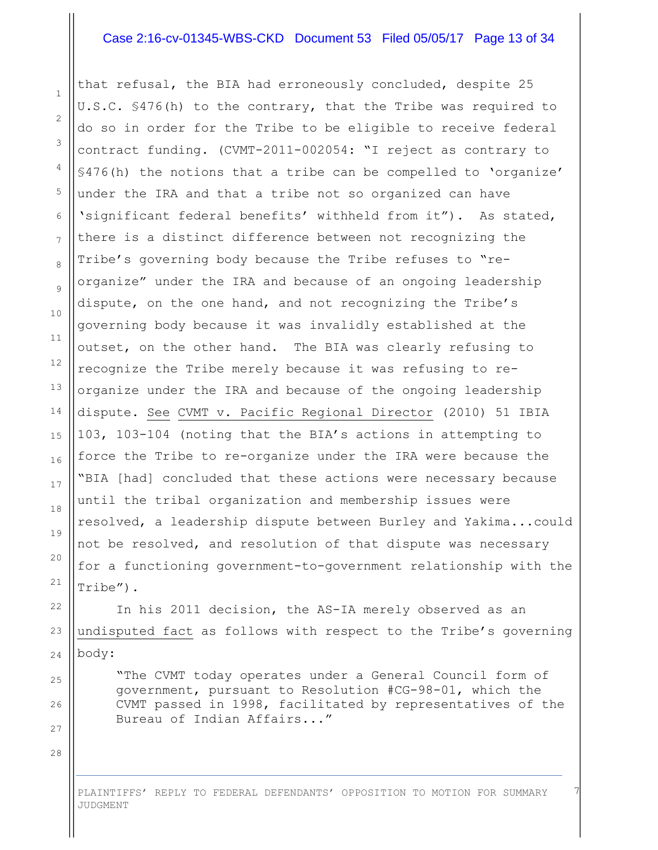#### Case 2:16-cv-01345-WBS-CKD Document 53 Filed 05/05/17 Page 13 of 34

that refusal, the BIA had erroneously concluded, despite 25 U.S.C. §476(h) to the contrary, that the Tribe was required to do so in order for the Tribe to be eligible to receive federal contract funding. (CVMT-2011-002054: "I reject as contrary to §476(h) the notions that a tribe can be compelled to 'organize' under the IRA and that a tribe not so organized can have 'significant federal benefits' withheld from it"). As stated, there is a distinct difference between not recognizing the Tribe's governing body because the Tribe refuses to "reorganize" under the IRA and because of an ongoing leadership dispute, on the one hand, and not recognizing the Tribe's governing body because it was invalidly established at the outset, on the other hand. The BIA was clearly refusing to recognize the Tribe merely because it was refusing to reorganize under the IRA and because of the ongoing leadership dispute. See CVMT v. Pacific Regional Director (2010) 51 IBIA 103, 103-104 (noting that the BIA's actions in attempting to force the Tribe to re-organize under the IRA were because the "BIA [had] concluded that these actions were necessary because until the tribal organization and membership issues were resolved, a leadership dispute between Burley and Yakima...could not be resolved, and resolution of that dispute was necessary for a functioning government-to-government relationship with the Tribe").

In his 2011 decision, the AS-IA merely observed as an undisputed fact as follows with respect to the Tribe's governing body:

"The CVMT today operates under a General Council form of government, pursuant to Resolution #CG-98-01, which the CVMT passed in 1998, facilitated by representatives of the Bureau of Indian Affairs..."

7

28

1

2

3

4

5

6

7

8

9

10

11

12

13

14

15

16

17

18

19

20

21

22

23

24

25

26

27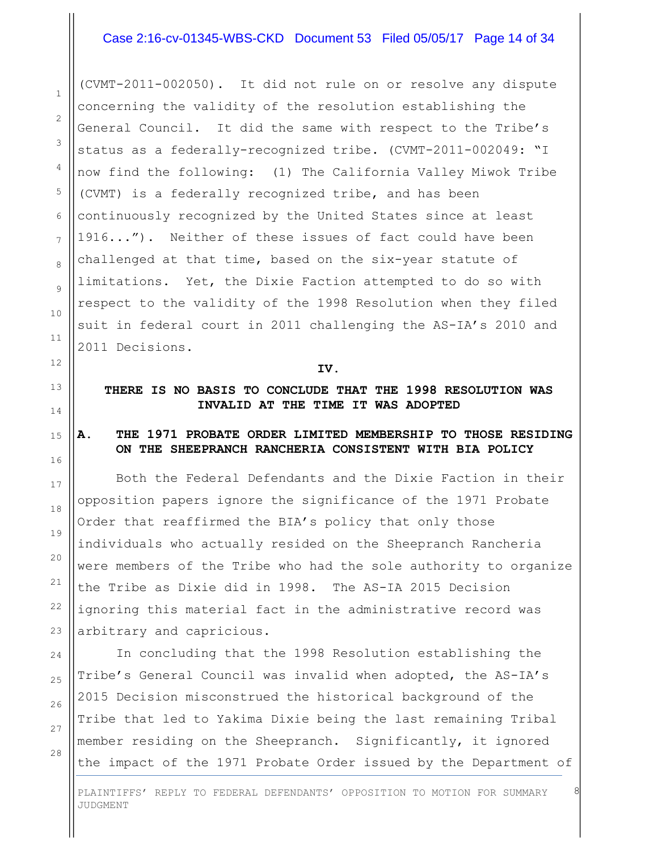#### Case 2:16-cv-01345-WBS-CKD Document 53 Filed 05/05/17 Page 14 of 34

(CVMT-2011-002050). It did not rule on or resolve any dispute concerning the validity of the resolution establishing the General Council. It did the same with respect to the Tribe's status as a federally-recognized tribe. (CVMT-2011-002049: "I now find the following: (1) The California Valley Miwok Tribe (CVMT) is a federally recognized tribe, and has been continuously recognized by the United States since at least 1916..."). Neither of these issues of fact could have been challenged at that time, based on the six-year statute of limitations. Yet, the Dixie Faction attempted to do so with respect to the validity of the 1998 Resolution when they filed suit in federal court in 2011 challenging the AS-IA's 2010 and 2011 Decisions.

#### **IV.**

**THERE IS NO BASIS TO CONCLUDE THAT THE 1998 RESOLUTION WAS INVALID AT THE TIME IT WAS ADOPTED**

#### **A. THE 1971 PROBATE ORDER LIMITED MEMBERSHIP TO THOSE RESIDING ON THE SHEEPRANCH RANCHERIA CONSISTENT WITH BIA POLICY**

Both the Federal Defendants and the Dixie Faction in their opposition papers ignore the significance of the 1971 Probate Order that reaffirmed the BIA's policy that only those individuals who actually resided on the Sheepranch Rancheria were members of the Tribe who had the sole authority to organize the Tribe as Dixie did in 1998. The AS-IA 2015 Decision ignoring this material fact in the administrative record was arbitrary and capricious.

In concluding that the 1998 Resolution establishing the Tribe's General Council was invalid when adopted, the AS-IA's 2015 Decision misconstrued the historical background of the Tribe that led to Yakima Dixie being the last remaining Tribal member residing on the Sheepranch. Significantly, it ignored the impact of the 1971 Probate Order issued by the Department of

 $26$ 

27

28

1

2

3

4

5

6

7

8

PLAINTIFFS' REPLY TO FEDERAL DEFENDANTS' OPPOSITION TO MOTION FOR SUMMARY JUDGMENT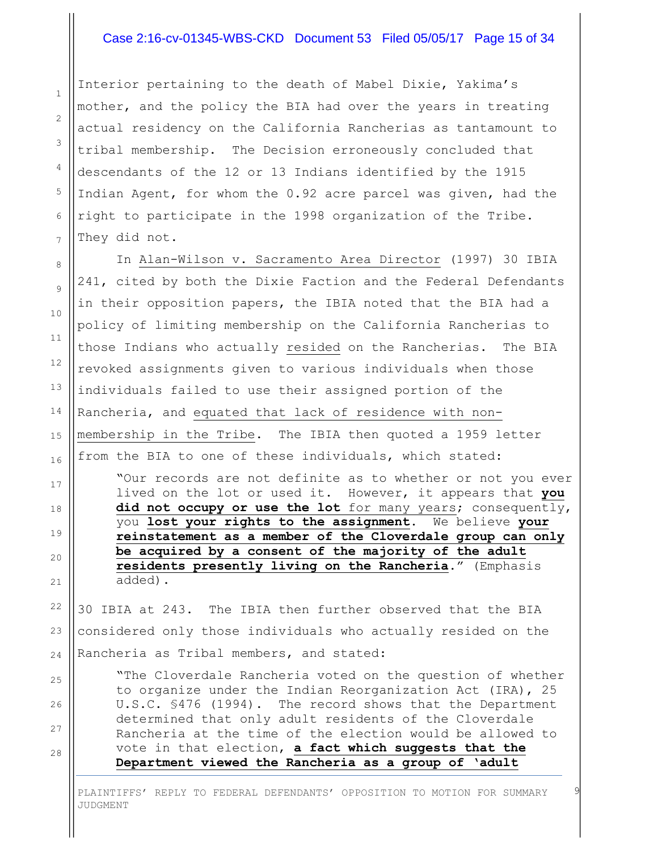#### Case 2:16-cv-01345-WBS-CKD Document 53 Filed 05/05/17 Page 15 of 34

Interior pertaining to the death of Mabel Dixie, Yakima's mother, and the policy the BIA had over the years in treating actual residency on the California Rancherias as tantamount to tribal membership. The Decision erroneously concluded that descendants of the 12 or 13 Indians identified by the 1915 Indian Agent, for whom the 0.92 acre parcel was given, had the right to participate in the 1998 organization of the Tribe. They did not.

1

2

3

4

5

6

7

8

9

10

11

12

13

14

15

16

17

18

19

20

21

25

26

27

28

In Alan-Wilson v. Sacramento Area Director (1997) 30 IBIA 241, cited by both the Dixie Faction and the Federal Defendants in their opposition papers, the IBIA noted that the BIA had a policy of limiting membership on the California Rancherias to those Indians who actually resided on the Rancherias. The BIA revoked assignments given to various individuals when those individuals failed to use their assigned portion of the Rancheria, and equated that lack of residence with nonmembership in the Tribe. The IBIA then quoted a 1959 letter from the BIA to one of these individuals, which stated: "Our records are not definite as to whether or not you ever

lived on the lot or used it. However, it appears that **you** did not occupy or use the lot for many years; consequently, you **lost your rights to the assignment**. We believe **your reinstatement as a member of the Cloverdale group can only be acquired by a consent of the majority of the adult residents presently living on the Rancheria**." (Emphasis added).

22 23 24 30 IBIA at 243. The IBIA then further observed that the BIA considered only those individuals who actually resided on the Rancheria as Tribal members, and stated:

"The Cloverdale Rancheria voted on the question of whether to organize under the Indian Reorganization Act (IRA), 25 U.S.C. §476 (1994). The record shows that the Department determined that only adult residents of the Cloverdale Rancheria at the time of the election would be allowed to vote in that election, **a fact which suggests that the Department viewed the Rancheria as a group of 'adult** 

PLAINTIFFS' REPLY TO FEDERAL DEFENDANTS' OPPOSITION TO MOTION FOR SUMMARY JUDGMENT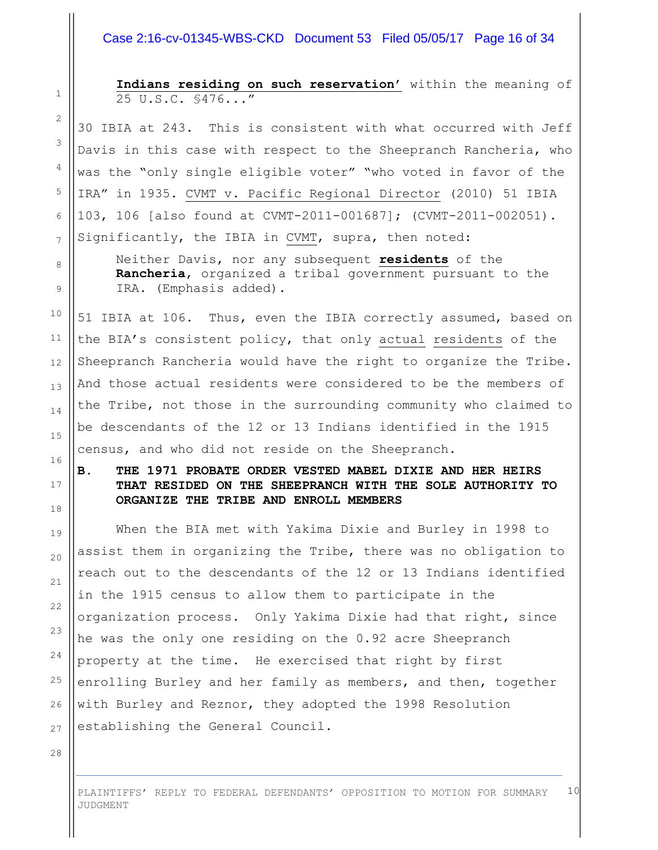#### Case 2:16-cv-01345-WBS-CKD Document 53 Filed 05/05/17 Page 16 of 34

**Indians residing on such reservation'** within the meaning of 25 U.S.C. §476..."

30 IBIA at 243. This is consistent with what occurred with Jeff Davis in this case with respect to the Sheepranch Rancheria, who was the "only single eligible voter" "who voted in favor of the IRA" in 1935. CVMT v. Pacific Regional Director (2010) 51 IBIA 103, 106 [also found at CVMT-2011-001687]; (CVMT-2011-002051). Significantly, the IBIA in CVMT, supra, then noted:

Neither Davis, nor any subsequent **residents** of the **Rancheria**, organized a tribal government pursuant to the IRA. (Emphasis added).

51 IBIA at 106. Thus, even the IBIA correctly assumed, based on the BIA's consistent policy, that only actual residents of the Sheepranch Rancheria would have the right to organize the Tribe. And those actual residents were considered to be the members of the Tribe, not those in the surrounding community who claimed to be descendants of the 12 or 13 Indians identified in the 1915 census, and who did not reside on the Sheepranch.

**B. THE 1971 PROBATE ORDER VESTED MABEL DIXIE AND HER HEIRS THAT RESIDED ON THE SHEEPRANCH WITH THE SOLE AUTHORITY TO ORGANIZE THE TRIBE AND ENROLL MEMBERS**

When the BIA met with Yakima Dixie and Burley in 1998 to assist them in organizing the Tribe, there was no obligation to reach out to the descendants of the 12 or 13 Indians identified in the 1915 census to allow them to participate in the organization process. Only Yakima Dixie had that right, since he was the only one residing on the 0.92 acre Sheepranch property at the time. He exercised that right by first enrolling Burley and her family as members, and then, together with Burley and Reznor, they adopted the 1998 Resolution establishing the General Council.

28

1

2

3

4

5

6

7

8

9

10

11

12

13

14

15

16

17

18

19

20

21

22

23

24

25

26

27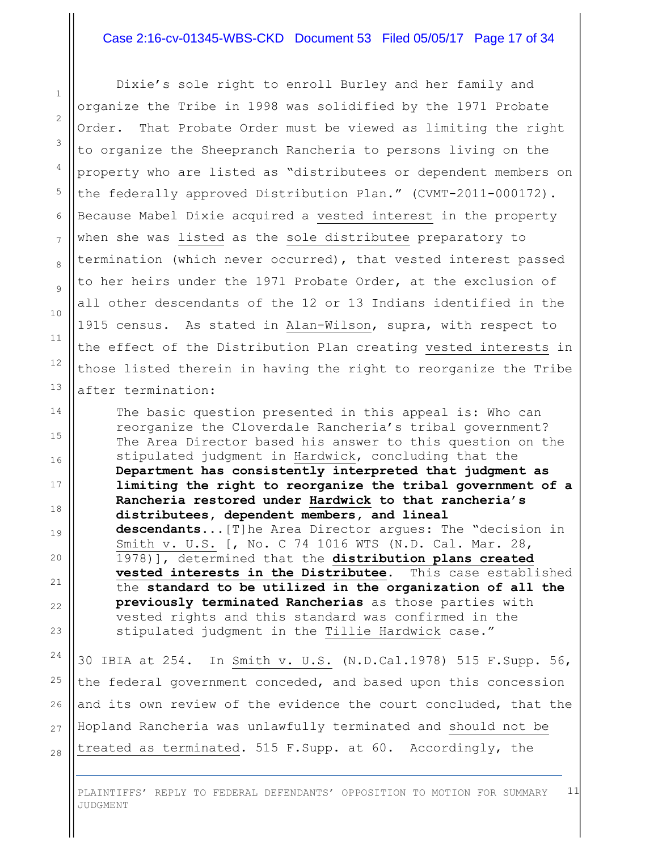#### Case 2:16-cv-01345-WBS-CKD Document 53 Filed 05/05/17 Page 17 of 34

1

2

3

4

5

6

7

8

9

10

11

12

13

14

15

16

17

18

19

20

21

22

23

24

25

26

27

28

Dixie's sole right to enroll Burley and her family and organize the Tribe in 1998 was solidified by the 1971 Probate Order. That Probate Order must be viewed as limiting the right to organize the Sheepranch Rancheria to persons living on the property who are listed as "distributees or dependent members on the federally approved Distribution Plan." (CVMT-2011-000172). Because Mabel Dixie acquired a vested interest in the property when she was listed as the sole distributee preparatory to termination (which never occurred), that vested interest passed to her heirs under the 1971 Probate Order, at the exclusion of all other descendants of the 12 or 13 Indians identified in the 1915 census. As stated in Alan-Wilson, supra, with respect to the effect of the Distribution Plan creating vested interests in those listed therein in having the right to reorganize the Tribe after termination:

The basic question presented in this appeal is: Who can reorganize the Cloverdale Rancheria's tribal government? The Area Director based his answer to this question on the stipulated judgment in Hardwick, concluding that the **Department has consistently interpreted that judgment as limiting the right to reorganize the tribal government of a Rancheria restored under Hardwick to that rancheria's distributees, dependent members, and lineal descendants**...[T]he Area Director argues: The "decision in Smith v. U.S. [, No. C 74 1016 WTS (N.D. Cal. Mar. 28, 1978)], determined that the **distribution plans created vested interests in the Distributee**. This case established the **standard to be utilized in the organization of all the previously terminated Rancherias** as those parties with vested rights and this standard was confirmed in the stipulated judgment in the Tillie Hardwick case."

30 IBIA at 254. In Smith v. U.S. (N.D.Cal.1978) 515 F.Supp. 56, the federal government conceded, and based upon this concession and its own review of the evidence the court concluded, that the Hopland Rancheria was unlawfully terminated and should not be treated as terminated. 515 F.Supp. at 60. Accordingly, the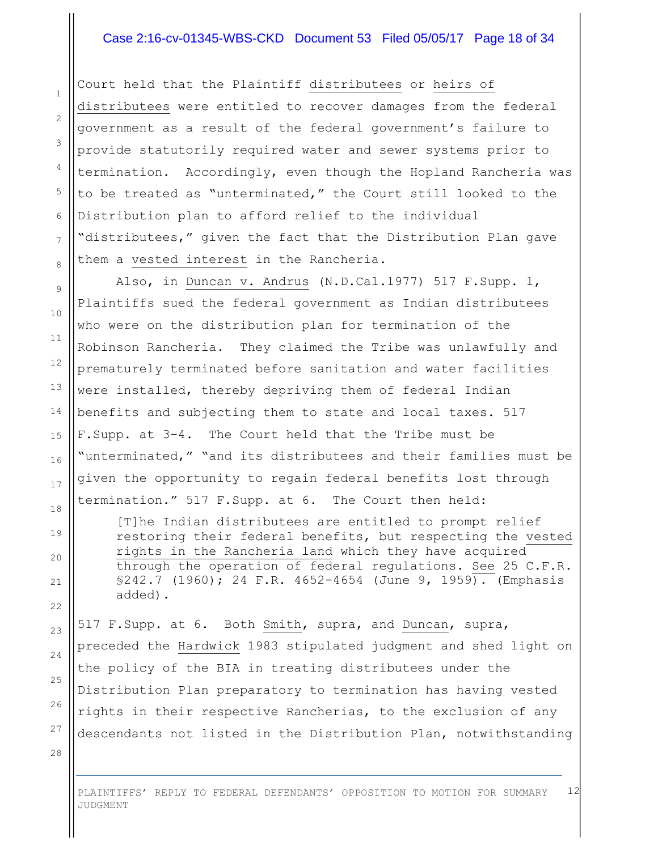#### Case 2:16-cv-01345-WBS-CKD Document 53 Filed 05/05/17 Page 18 of 34

Court held that the Plaintiff distributees or heirs of distributees were entitled to recover damages from the federal government as a result of the federal government's failure to provide statutorily required water and sewer systems prior to termination. Accordingly, even though the Hopland Rancheria was to be treated as "unterminated," the Court still looked to the Distribution plan to afford relief to the individual "distributees," given the fact that the Distribution Plan gave them a vested interest in the Rancheria.

Also, in Duncan v. Andrus (N.D.Cal.1977) 517 F.Supp. 1, Plaintiffs sued the federal government as Indian distributees who were on the distribution plan for termination of the Robinson Rancheria. They claimed the Tribe was unlawfully and prematurely terminated before sanitation and water facilities were installed, thereby depriving them of federal Indian benefits and subjecting them to state and local taxes. 517 F.Supp. at 3-4. The Court held that the Tribe must be "unterminated," "and its distributees and their families must be given the opportunity to regain federal benefits lost through termination." 517 F.Supp. at 6. The Court then held:

[T]he Indian distributees are entitled to prompt relief restoring their federal benefits, but respecting the vested rights in the Rancheria land which they have acquired through the operation of federal regulations. See 25 C.F.R. §242.7 (1960); 24 F.R. 4652-4654 (June 9, 1959). (Emphasis added).

517 F.Supp. at 6. Both Smith, supra, and Duncan, supra, preceded the Hardwick 1983 stipulated judgment and shed light on the policy of the BIA in treating distributees under the Distribution Plan preparatory to termination has having vested rights in their respective Rancherias, to the exclusion of any descendants not listed in the Distribution Plan, notwithstanding

28

1

2

3

4

5

6

7

8

9

10

11

12

13

14

15

16

17

18

19

20

21

22

23

24

25

26

27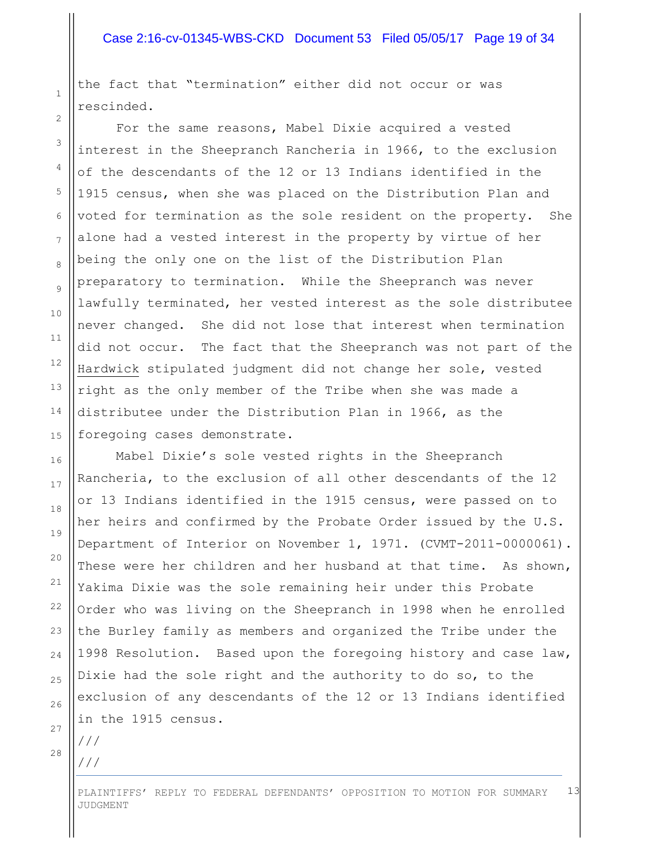#### Case 2:16-cv-01345-WBS-CKD Document 53 Filed 05/05/17 Page 19 of 34

the fact that "termination" either did not occur or was rescinded.

For the same reasons, Mabel Dixie acquired a vested interest in the Sheepranch Rancheria in 1966, to the exclusion of the descendants of the 12 or 13 Indians identified in the 1915 census, when she was placed on the Distribution Plan and voted for termination as the sole resident on the property. She alone had a vested interest in the property by virtue of her being the only one on the list of the Distribution Plan preparatory to termination. While the Sheepranch was never lawfully terminated, her vested interest as the sole distributee never changed. She did not lose that interest when termination did not occur. The fact that the Sheepranch was not part of the Hardwick stipulated judgment did not change her sole, vested right as the only member of the Tribe when she was made a distributee under the Distribution Plan in 1966, as the foregoing cases demonstrate.

Mabel Dixie's sole vested rights in the Sheepranch Rancheria, to the exclusion of all other descendants of the 12 or 13 Indians identified in the 1915 census, were passed on to her heirs and confirmed by the Probate Order issued by the U.S. Department of Interior on November 1, 1971. (CVMT-2011-0000061). These were her children and her husband at that time. As shown, Yakima Dixie was the sole remaining heir under this Probate Order who was living on the Sheepranch in 1998 when he enrolled the Burley family as members and organized the Tribe under the 1998 Resolution. Based upon the foregoing history and case law, Dixie had the sole right and the authority to do so, to the exclusion of any descendants of the 12 or 13 Indians identified in the 1915 census.

28

///

///

1

2

3

4

5

6

7

8

9

10

11

12

13

14

15

16

17

18

19

20

21

22

23

24

25

26

27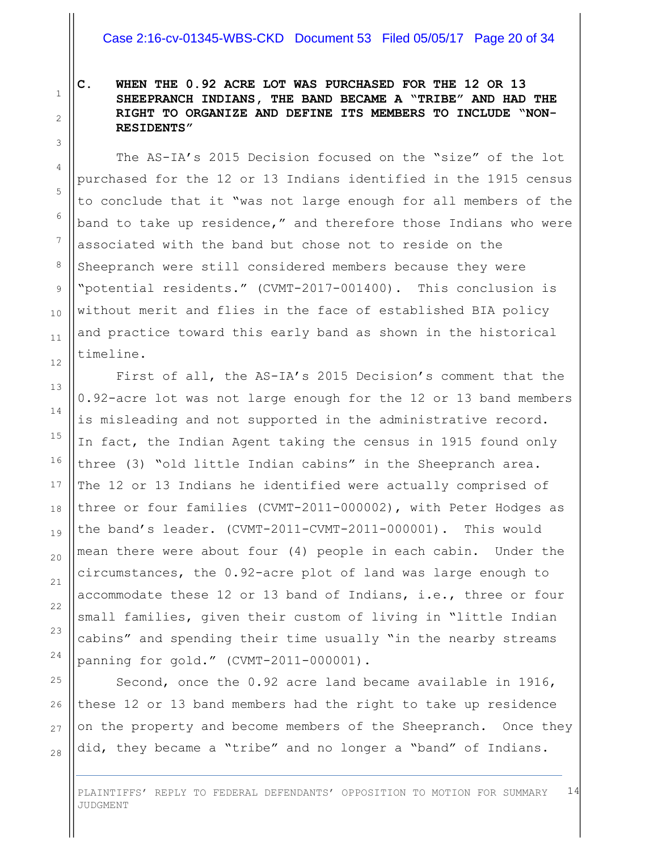#### Case 2:16-cv-01345-WBS-CKD Document 53 Filed 05/05/17 Page 20 of 34

1 2

3

4

5

6

7

8

9

10

11

12

13

14

15

16

17

18

19

20

21

22

23

24

25

26

27

28

#### **C. WHEN THE 0.92 ACRE LOT WAS PURCHASED FOR THE 12 OR 13 SHEEPRANCH INDIANS, THE BAND BECAME A "TRIBE" AND HAD THE RIGHT TO ORGANIZE AND DEFINE ITS MEMBERS TO INCLUDE "NON-RESIDENTS"**

The AS-IA's 2015 Decision focused on the "size" of the lot purchased for the 12 or 13 Indians identified in the 1915 census to conclude that it "was not large enough for all members of the band to take up residence," and therefore those Indians who were associated with the band but chose not to reside on the Sheepranch were still considered members because they were "potential residents." (CVMT-2017-001400). This conclusion is without merit and flies in the face of established BIA policy and practice toward this early band as shown in the historical timeline.

First of all, the AS-IA's 2015 Decision's comment that the 0.92-acre lot was not large enough for the 12 or 13 band members is misleading and not supported in the administrative record. In fact, the Indian Agent taking the census in 1915 found only three (3) "old little Indian cabins" in the Sheepranch area. The 12 or 13 Indians he identified were actually comprised of three or four families (CVMT-2011-000002), with Peter Hodges as the band's leader. (CVMT-2011-CVMT-2011-000001). This would mean there were about four (4) people in each cabin. Under the circumstances, the 0.92-acre plot of land was large enough to accommodate these 12 or 13 band of Indians, i.e., three or four small families, given their custom of living in "little Indian cabins" and spending their time usually "in the nearby streams panning for gold." (CVMT-2011-000001).

Second, once the 0.92 acre land became available in 1916, these 12 or 13 band members had the right to take up residence on the property and become members of the Sheepranch. Once they did, they became a "tribe" and no longer a "band" of Indians.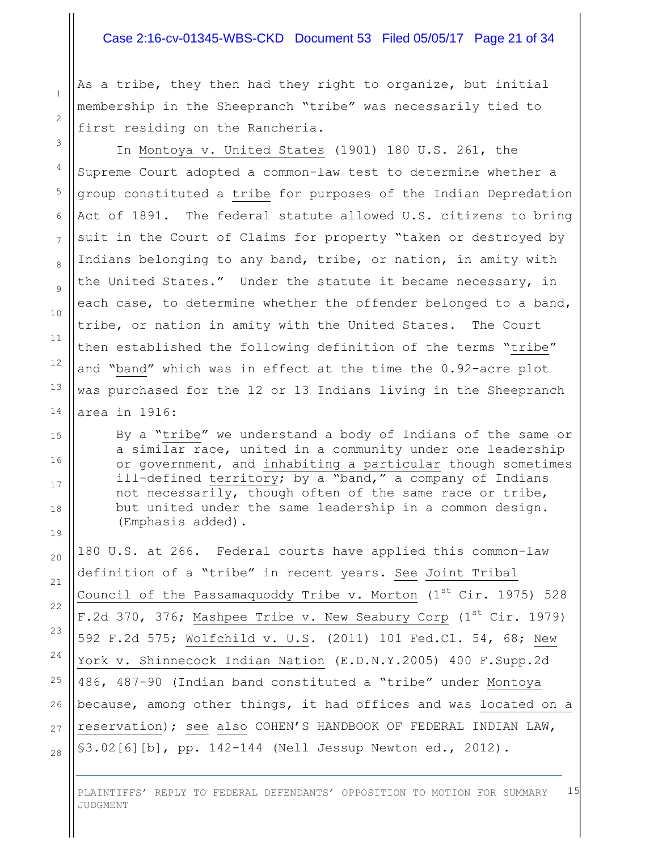#### Case 2:16-cv-01345-WBS-CKD Document 53 Filed 05/05/17 Page 21 of 34

As a tribe, they then had they right to organize, but initial membership in the Sheepranch "tribe" was necessarily tied to first residing on the Rancheria.

In Montoya v. United States (1901) 180 U.S. 261, the Supreme Court adopted a common-law test to determine whether a group constituted a tribe for purposes of the Indian Depredation Act of 1891. The federal statute allowed U.S. citizens to bring suit in the Court of Claims for property "taken or destroyed by Indians belonging to any band, tribe, or nation, in amity with the United States." Under the statute it became necessary, in each case, to determine whether the offender belonged to a band, tribe, or nation in amity with the United States. The Court then established the following definition of the terms "tribe" and "band" which was in effect at the time the 0.92-acre plot was purchased for the 12 or 13 Indians living in the Sheepranch area in 1916:

By a "tribe" we understand a body of Indians of the same or a similar race, united in a community under one leadership or government, and inhabiting a particular though sometimes ill-defined territory; by a "band," a company of Indians not necessarily, though often of the same race or tribe, but united under the same leadership in a common design. (Emphasis added).

180 U.S. at 266. Federal courts have applied this common-law definition of a "tribe" in recent years. See Joint Tribal Council of the Passamaquoddy Tribe v. Morton  $(1^{st}$  Cir. 1975) 528 F.2d 370, 376; Mashpee Tribe v. New Seabury Corp (1st Cir. 1979) 592 F.2d 575; Wolfchild v. U.S. (2011) 101 Fed.Cl. 54, 68; New York v. Shinnecock Indian Nation (E.D.N.Y.2005) 400 F.Supp.2d 486, 487-90 (Indian band constituted a "tribe" under Montoya because, among other things, it had offices and was located on a reservation); see also COHEN'S HANDBOOK OF FEDERAL INDIAN LAW, §3.02[6][b], pp. 142-144 (Nell Jessup Newton ed., 2012).

PLAINTIFFS' REPLY TO FEDERAL DEFENDANTS' OPPOSITION TO MOTION FOR SUMMARY JUDGMENT 15

1

2

3

4

5

6

7

8

9

28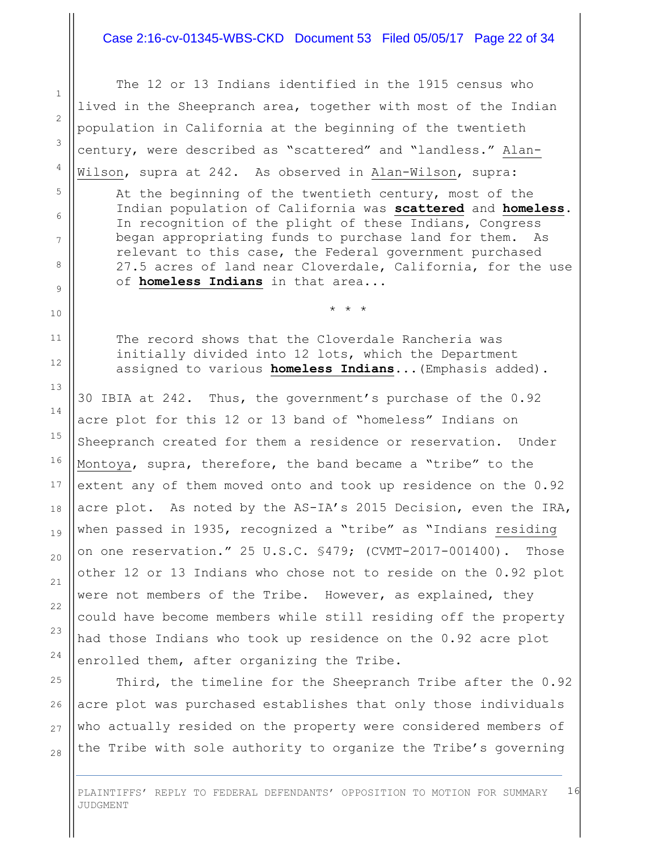#### Case 2:16-cv-01345-WBS-CKD Document 53 Filed 05/05/17 Page 22 of 34

The 12 or 13 Indians identified in the 1915 census who lived in the Sheepranch area, together with most of the Indian population in California at the beginning of the twentieth century, were described as "scattered" and "landless." Alan-Wilson, supra at 242. As observed in Alan-Wilson, supra: At the beginning of the twentieth century, most of the Indian population of California was **scattered** and **homeless**. In recognition of the plight of these Indians, Congress began appropriating funds to purchase land for them. As relevant to this case, the Federal government purchased 27.5 acres of land near Cloverdale, California, for the use of **homeless Indians** in that area... \* \* \* The record shows that the Cloverdale Rancheria was initially divided into 12 lots, which the Department assigned to various **homeless Indians**...(Emphasis added). 30 IBIA at 242. Thus, the government's purchase of the 0.92 acre plot for this 12 or 13 band of "homeless" Indians on Sheepranch created for them a residence or reservation. Under Montoya, supra, therefore, the band became a "tribe" to the extent any of them moved onto and took up residence on the 0.92 acre plot. As noted by the AS-IA's 2015 Decision, even the IRA, when passed in 1935, recognized a "tribe" as "Indians residing on one reservation." 25 U.S.C. §479; (CVMT-2017-001400). Those other 12 or 13 Indians who chose not to reside on the 0.92 plot were not members of the Tribe. However, as explained, they could have become members while still residing off the property had those Indians who took up residence on the 0.92 acre plot

enrolled them, after organizing the Tribe.

Third, the timeline for the Sheepranch Tribe after the 0.92 acre plot was purchased establishes that only those individuals who actually resided on the property were considered members of the Tribe with sole authority to organize the Tribe's governing

PLAINTIFFS' REPLY TO FEDERAL DEFENDANTS' OPPOSITION TO MOTION FOR SUMMARY JUDGMENT 16

1

2

3

4

5

6

7

8

9

10

11

12

13

14

15

16

17

18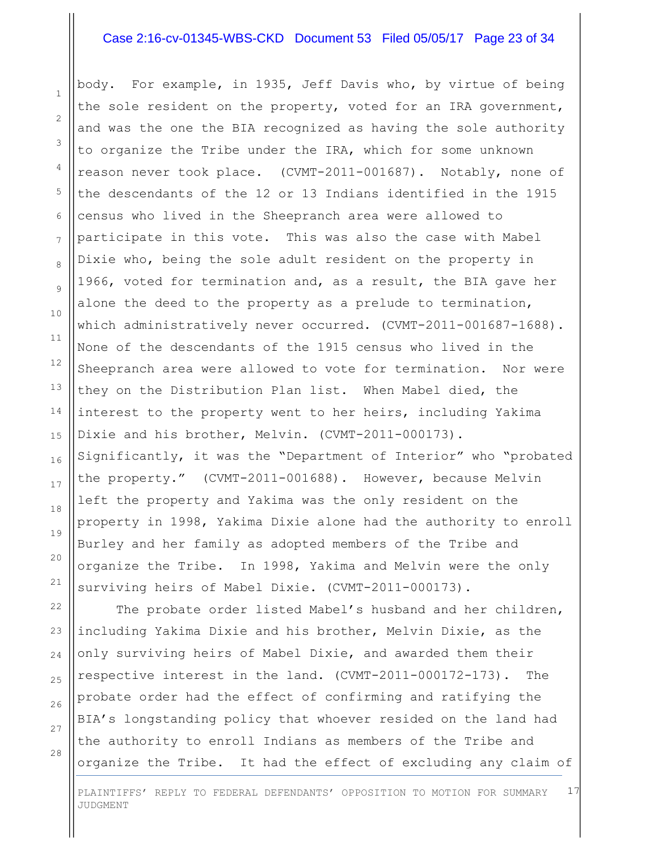#### Case 2:16-cv-01345-WBS-CKD Document 53 Filed 05/05/17 Page 23 of 34

body. For example, in 1935, Jeff Davis who, by virtue of being the sole resident on the property, voted for an IRA government, and was the one the BIA recognized as having the sole authority to organize the Tribe under the IRA, which for some unknown reason never took place. (CVMT-2011-001687). Notably, none of the descendants of the 12 or 13 Indians identified in the 1915 census who lived in the Sheepranch area were allowed to participate in this vote. This was also the case with Mabel Dixie who, being the sole adult resident on the property in 1966, voted for termination and, as a result, the BIA gave her alone the deed to the property as a prelude to termination, which administratively never occurred. (CVMT-2011-001687-1688). None of the descendants of the 1915 census who lived in the Sheepranch area were allowed to vote for termination. Nor were they on the Distribution Plan list. When Mabel died, the interest to the property went to her heirs, including Yakima Dixie and his brother, Melvin. (CVMT-2011-000173). Significantly, it was the "Department of Interior" who "probated the property." (CVMT-2011-001688). However, because Melvin left the property and Yakima was the only resident on the property in 1998, Yakima Dixie alone had the authority to enroll Burley and her family as adopted members of the Tribe and organize the Tribe. In 1998, Yakima and Melvin were the only

The probate order listed Mabel's husband and her children, including Yakima Dixie and his brother, Melvin Dixie, as the only surviving heirs of Mabel Dixie, and awarded them their respective interest in the land. (CVMT-2011-000172-173). The probate order had the effect of confirming and ratifying the BIA's longstanding policy that whoever resided on the land had the authority to enroll Indians as members of the Tribe and organize the Tribe. It had the effect of excluding any claim of

surviving heirs of Mabel Dixie. (CVMT-2011-000173).

28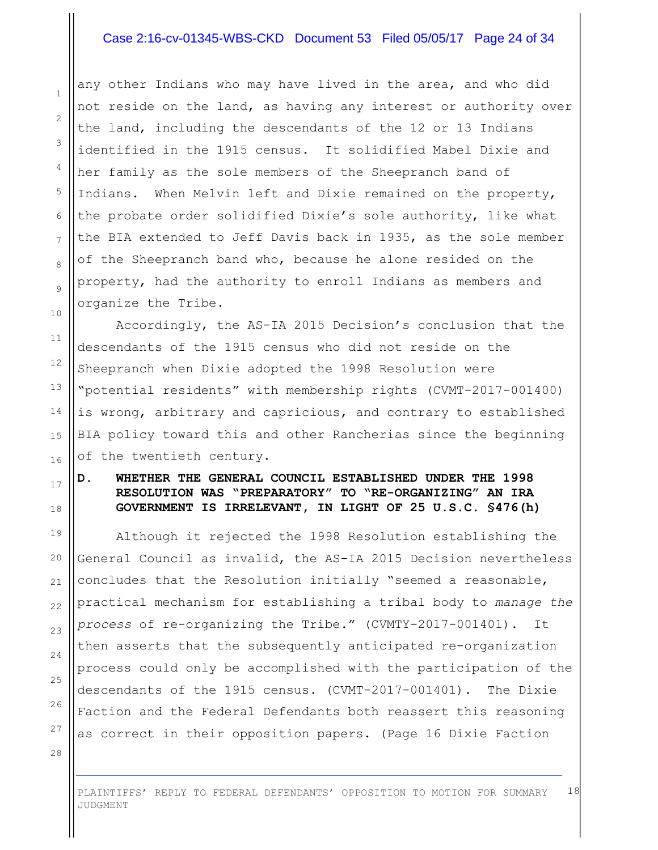#### Case 2:16-cv-01345-WBS-CKD Document 53 Filed 05/05/17 Page 24 of 34

any other Indians who may have lived in the area, and who did not reside on the land, as having any interest or authority over the land, including the descendants of the 12 or 13 Indians identified in the 1915 census. It solidified Mabel Dixie and her family as the sole members of the Sheepranch band of Indians. When Melvin left and Dixie remained on the property, the probate order solidified Dixie's sole authority, like what the BIA extended to Jeff Davis back in 1935, as the sole member of the Sheepranch band who, because he alone resided on the property, had the authority to enroll Indians as members and organize the Tribe.

Accordingly, the AS-IA 2015 Decision's conclusion that the descendants of the 1915 census who did not reside on the Sheepranch when Dixie adopted the 1998 Resolution were "potential residents" with membership rights (CVMT-2017-001400) is wrong, arbitrary and capricious, and contrary to established BIA policy toward this and other Rancherias since the beginning of the twentieth century.

#### **D. WHETHER THE GENERAL COUNCIL ESTABLISHED UNDER THE 1998 RESOLUTION WAS "PREPARATORY" TO "RE-ORGANIZING" AN IRA GOVERNMENT IS IRRELEVANT, IN LIGHT OF 25 U.S.C. §476(h)**

Although it rejected the 1998 Resolution establishing the General Council as invalid, the AS-IA 2015 Decision nevertheless concludes that the Resolution initially "seemed a reasonable, practical mechanism for establishing a tribal body to *manage the process* of re-organizing the Tribe." (CVMTY-2017-001401). It then asserts that the subsequently anticipated re-organization process could only be accomplished with the participation of the descendants of the 1915 census. (CVMT-2017-001401). The Dixie Faction and the Federal Defendants both reassert this reasoning as correct in their opposition papers. (Page 16 Dixie Faction

28

1

2

3

4

5

6

7

8

9

10

11

12

13

14

15

16

17

18

19

20

21

22

23

24

25

26

27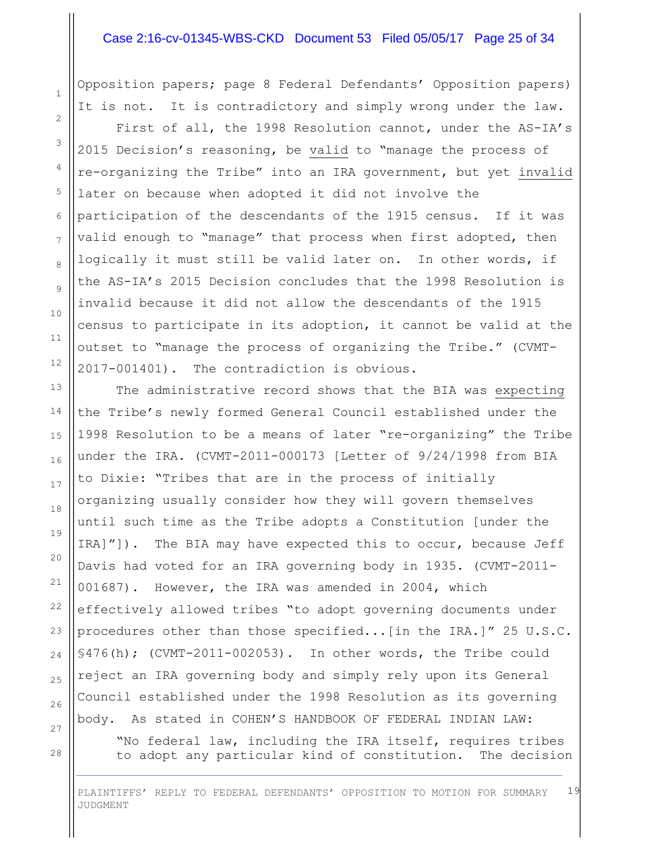#### Case 2:16-cv-01345-WBS-CKD Document 53 Filed 05/05/17 Page 25 of 34

Opposition papers; page 8 Federal Defendants' Opposition papers) It is not. It is contradictory and simply wrong under the law.

First of all, the 1998 Resolution cannot, under the AS-IA's 2015 Decision's reasoning, be valid to "manage the process of re-organizing the Tribe" into an IRA government, but yet invalid later on because when adopted it did not involve the participation of the descendants of the 1915 census. If it was valid enough to "manage" that process when first adopted, then logically it must still be valid later on. In other words, if the AS-IA's 2015 Decision concludes that the 1998 Resolution is invalid because it did not allow the descendants of the 1915 census to participate in its adoption, it cannot be valid at the outset to "manage the process of organizing the Tribe." (CVMT-2017-001401). The contradiction is obvious.

The administrative record shows that the BIA was expecting the Tribe's newly formed General Council established under the 1998 Resolution to be a means of later "re-organizing" the Tribe under the IRA. (CVMT-2011-000173 [Letter of 9/24/1998 from BIA to Dixie: "Tribes that are in the process of initially organizing usually consider how they will govern themselves until such time as the Tribe adopts a Constitution [under the IRA]"]). The BIA may have expected this to occur, because Jeff Davis had voted for an IRA governing body in 1935. (CVMT-2011- 001687). However, the IRA was amended in 2004, which effectively allowed tribes "to adopt governing documents under procedures other than those specified...[in the IRA.]" 25 U.S.C. §476(h); (CVMT-2011-002053). In other words, the Tribe could reject an IRA governing body and simply rely upon its General Council established under the 1998 Resolution as its governing body. As stated in COHEN'S HANDBOOK OF FEDERAL INDIAN LAW:

"No federal law, including the IRA itself, requires tribes to adopt any particular kind of constitution. The decision

1

2

3

4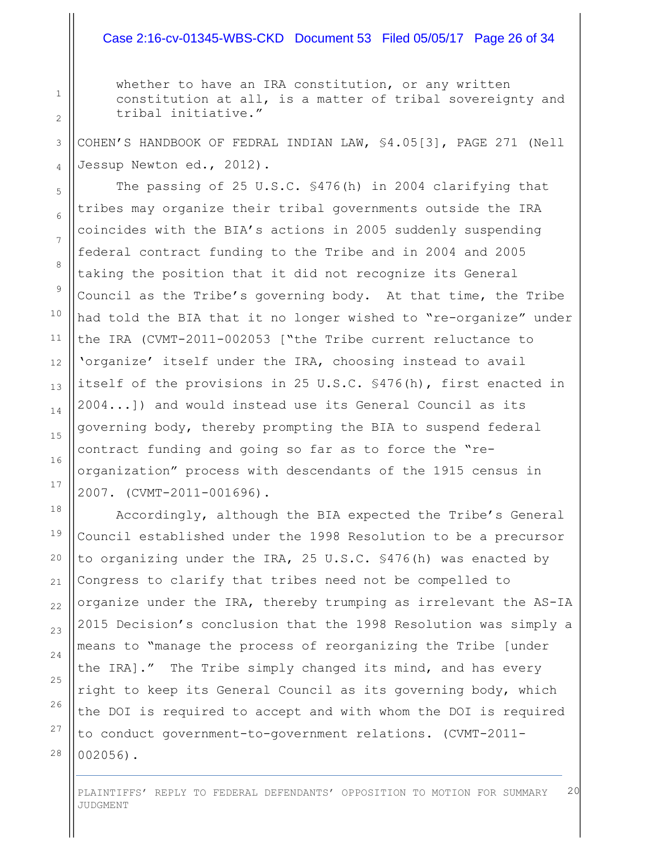#### Case 2:16-cv-01345-WBS-CKD Document 53 Filed 05/05/17 Page 26 of 34

whether to have an IRA constitution, or any written constitution at all, is a matter of tribal sovereignty and tribal initiative."

COHEN'S HANDBOOK OF FEDRAL INDIAN LAW, §4.05[3], PAGE 271 (Nell Jessup Newton ed., 2012).

The passing of 25 U.S.C. §476(h) in 2004 clarifying that tribes may organize their tribal governments outside the IRA coincides with the BIA's actions in 2005 suddenly suspending federal contract funding to the Tribe and in 2004 and 2005 taking the position that it did not recognize its General Council as the Tribe's governing body. At that time, the Tribe had told the BIA that it no longer wished to "re-organize" under the IRA (CVMT-2011-002053 ["the Tribe current reluctance to 'organize' itself under the IRA, choosing instead to avail itself of the provisions in 25 U.S.C. §476(h), first enacted in 2004...]) and would instead use its General Council as its governing body, thereby prompting the BIA to suspend federal contract funding and going so far as to force the "reorganization" process with descendants of the 1915 census in 2007. (CVMT-2011-001696).

Accordingly, although the BIA expected the Tribe's General Council established under the 1998 Resolution to be a precursor to organizing under the IRA, 25 U.S.C. §476(h) was enacted by Congress to clarify that tribes need not be compelled to organize under the IRA, thereby trumping as irrelevant the AS-IA 2015 Decision's conclusion that the 1998 Resolution was simply a means to "manage the process of reorganizing the Tribe [under the IRA]." The Tribe simply changed its mind, and has every right to keep its General Council as its governing body, which the DOI is required to accept and with whom the DOI is required to conduct government-to-government relations. (CVMT-2011- 002056).

PLAINTIFFS' REPLY TO FEDERAL DEFENDANTS' OPPOSITION TO MOTION FOR SUMMARY JUDGMENT 20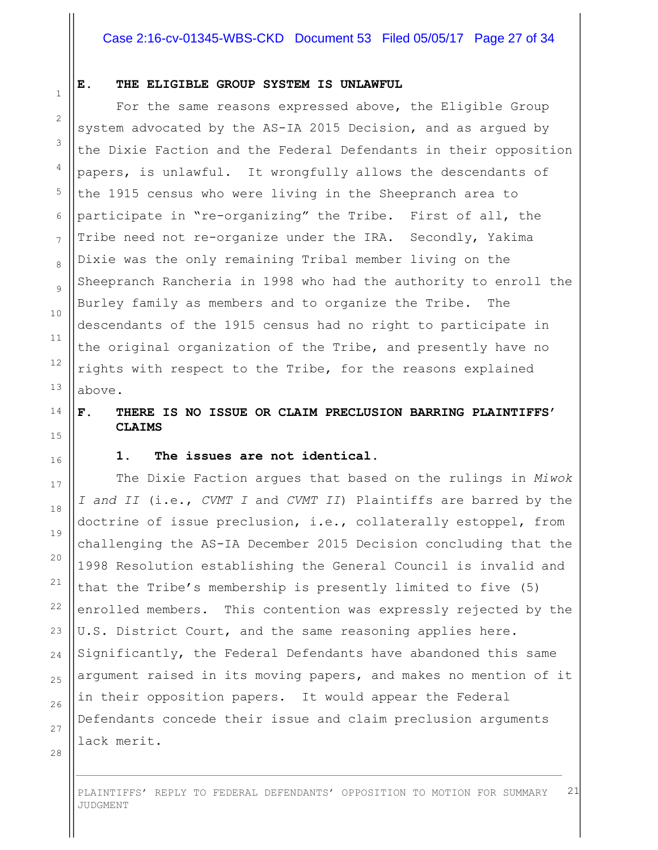#### Case 2:16-cv-01345-WBS-CKD Document 53 Filed 05/05/17 Page 27 of 34

#### **E. THE ELIGIBLE GROUP SYSTEM IS UNLAWFUL**

For the same reasons expressed above, the Eligible Group system advocated by the AS-IA 2015 Decision, and as argued by the Dixie Faction and the Federal Defendants in their opposition papers, is unlawful. It wrongfully allows the descendants of the 1915 census who were living in the Sheepranch area to participate in "re-organizing" the Tribe. First of all, the Tribe need not re-organize under the IRA. Secondly, Yakima Dixie was the only remaining Tribal member living on the Sheepranch Rancheria in 1998 who had the authority to enroll the Burley family as members and to organize the Tribe. The descendants of the 1915 census had no right to participate in the original organization of the Tribe, and presently have no rights with respect to the Tribe, for the reasons explained above.

#### **F. THERE IS NO ISSUE OR CLAIM PRECLUSION BARRING PLAINTIFFS' CLAIMS**

#### **1. The issues are not identical.**

The Dixie Faction argues that based on the rulings in *Miwok I and II* (i.e., *CVMT I* and *CVMT II*) Plaintiffs are barred by the doctrine of issue preclusion, i.e., collaterally estoppel, from challenging the AS-IA December 2015 Decision concluding that the 1998 Resolution establishing the General Council is invalid and that the Tribe's membership is presently limited to five (5) enrolled members. This contention was expressly rejected by the U.S. District Court, and the same reasoning applies here. Significantly, the Federal Defendants have abandoned this same argument raised in its moving papers, and makes no mention of it in their opposition papers. It would appear the Federal Defendants concede their issue and claim preclusion arguments lack merit.

28

1

2

3

4

5

6

7

8

9

10

11

12

13

14

15

16

17

18

19

20

21

22

23

24

25

26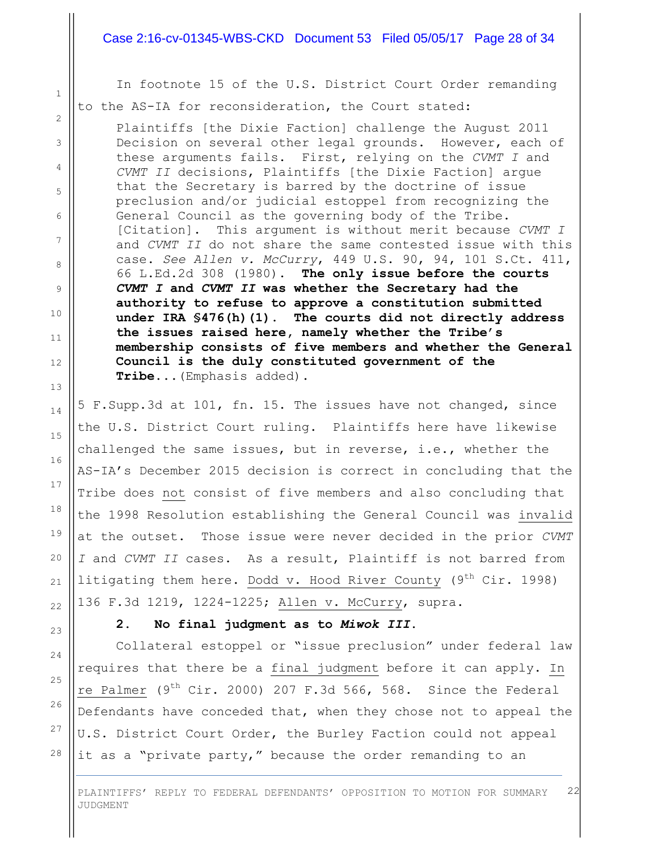#### Case 2:16-cv-01345-WBS-CKD Document 53 Filed 05/05/17 Page 28 of 34

In footnote 15 of the U.S. District Court Order remanding to the AS-IA for reconsideration, the Court stated:

1

2

3

4

5

6

7

8

9

10

11

12

13

14

15

16

17

18

19

20

21

22

23

24

25

26

27

28

Plaintiffs [the Dixie Faction] challenge the August 2011 Decision on several other legal grounds. However, each of these arguments fails. First, relying on the *CVMT I* and *CVMT II* decisions, Plaintiffs [the Dixie Faction] argue that the Secretary is barred by the doctrine of issue preclusion and/or judicial estoppel from recognizing the General Council as the governing body of the Tribe. [Citation]. This argument is without merit because *CVMT I* and *CVMT II* do not share the same contested issue with this case. *See Allen v. McCurry*, 449 U.S. 90, 94, 101 S.Ct. 411, 66 L.Ed.2d 308 (1980). **The only issue before the courts**  *CVMT I* **and** *CVMT II* **was whether the Secretary had the authority to refuse to approve a constitution submitted under IRA §476(h)(1)**. **The courts did not directly address the issues raised here, namely whether the Tribe's membership consists of five members and whether the General Council is the duly constituted government of the Tribe...**(Emphasis added).

5 F.Supp.3d at 101, fn. 15. The issues have not changed, since the U.S. District Court ruling. Plaintiffs here have likewise challenged the same issues, but in reverse, i.e., whether the AS-IA's December 2015 decision is correct in concluding that the Tribe does not consist of five members and also concluding that the 1998 Resolution establishing the General Council was invalid at the outset. Those issue were never decided in the prior *CVMT I* and *CVMT II* cases. As a result, Plaintiff is not barred from litigating them here. Dodd v. Hood River County ( $9^{th}$  Cir. 1998) 136 F.3d 1219, 1224-1225; Allen v. McCurry, supra.

#### **2. No final judgment as to** *Miwok III***.**

Collateral estoppel or "issue preclusion" under federal law requires that there be a final judgment before it can apply. In re Palmer ( $9^{th}$  Cir. 2000) 207 F.3d 566, 568. Since the Federal Defendants have conceded that, when they chose not to appeal the U.S. District Court Order, the Burley Faction could not appeal it as a "private party," because the order remanding to an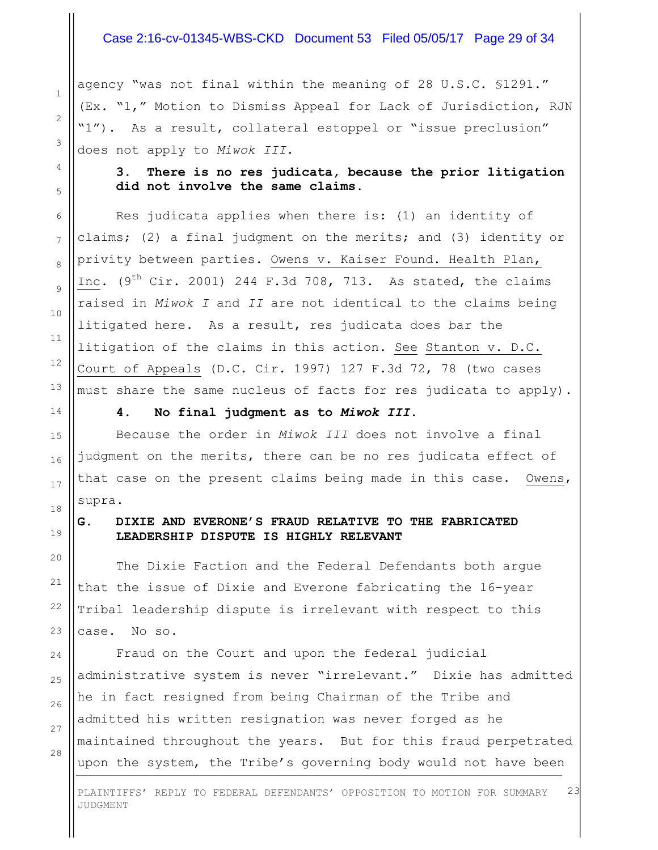#### Case 2:16-cv-01345-WBS-CKD Document 53 Filed 05/05/17 Page 29 of 34

agency "was not final within the meaning of 28 U.S.C. §1291." (Ex. "1," Motion to Dismiss Appeal for Lack of Jurisdiction, RJN "1"). As a result, collateral estoppel or "issue preclusion" does not apply to *Miwok III*.

**3. There is no res judicata, because the prior litigation did not involve the same claims.**

Res judicata applies when there is: (1) an identity of claims; (2) a final judgment on the merits; and (3) identity or privity between parties. Owens v. Kaiser Found. Health Plan, Inc.  $(9<sup>th</sup> Cir. 2001)$  244 F.3d 708, 713. As stated, the claims raised in *Miwok I* and *II* are not identical to the claims being litigated here. As a result, res judicata does bar the litigation of the claims in this action. See Stanton v. D.C. Court of Appeals (D.C. Cir. 1997) 127 F.3d 72, 78 (two cases must share the same nucleus of facts for res judicata to apply).

**4. No final judgment as to** *Miwok III***.**

Because the order in *Miwok III* does not involve a final judgment on the merits, there can be no res judicata effect of that case on the present claims being made in this case. Owens, supra.

#### **G. DIXIE AND EVERONE'S FRAUD RELATIVE TO THE FABRICATED LEADERSHIP DISPUTE IS HIGHLY RELEVANT**

The Dixie Faction and the Federal Defendants both argue that the issue of Dixie and Everone fabricating the 16-year Tribal leadership dispute is irrelevant with respect to this case. No so.

Fraud on the Court and upon the federal judicial administrative system is never "irrelevant." Dixie has admitted he in fact resigned from being Chairman of the Tribe and admitted his written resignation was never forged as he maintained throughout the years. But for this fraud perpetrated upon the system, the Tribe's governing body would not have been

28

1

2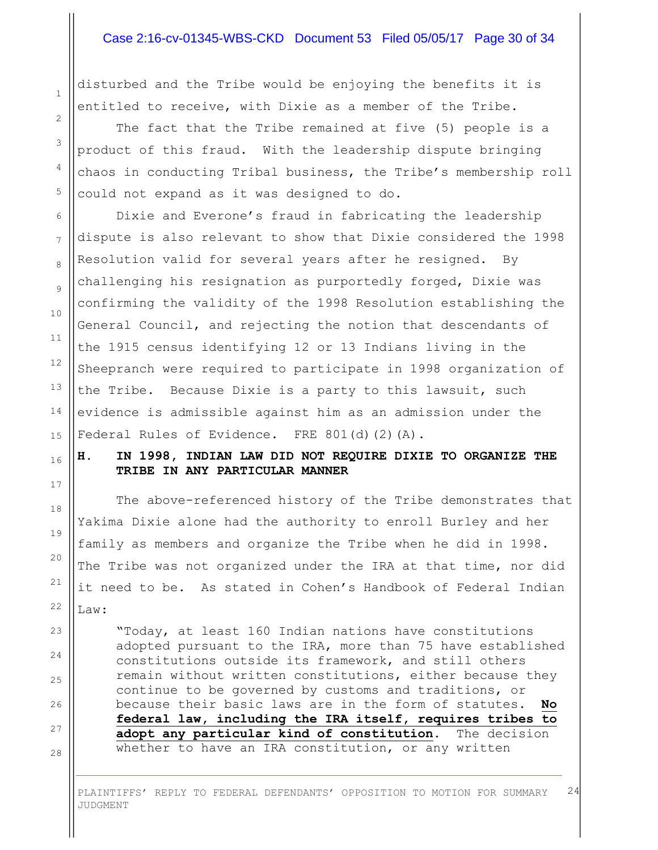#### Case 2:16-cv-01345-WBS-CKD Document 53 Filed 05/05/17 Page 30 of 34

disturbed and the Tribe would be enjoying the benefits it is entitled to receive, with Dixie as a member of the Tribe.

The fact that the Tribe remained at five (5) people is a product of this fraud. With the leadership dispute bringing chaos in conducting Tribal business, the Tribe's membership roll could not expand as it was designed to do.

Dixie and Everone's fraud in fabricating the leadership dispute is also relevant to show that Dixie considered the 1998 Resolution valid for several years after he resigned. By challenging his resignation as purportedly forged, Dixie was confirming the validity of the 1998 Resolution establishing the General Council, and rejecting the notion that descendants of the 1915 census identifying 12 or 13 Indians living in the Sheepranch were required to participate in 1998 organization of the Tribe. Because Dixie is a party to this lawsuit, such evidence is admissible against him as an admission under the Federal Rules of Evidence. FRE 801(d)(2)(A).

#### **H. IN 1998, INDIAN LAW DID NOT REQUIRE DIXIE TO ORGANIZE THE TRIBE IN ANY PARTICULAR MANNER**

The above-referenced history of the Tribe demonstrates that Yakima Dixie alone had the authority to enroll Burley and her family as members and organize the Tribe when he did in 1998. The Tribe was not organized under the IRA at that time, nor did it need to be. As stated in Cohen's Handbook of Federal Indian Law:

"Today, at least 160 Indian nations have constitutions adopted pursuant to the IRA, more than 75 have established constitutions outside its framework, and still others remain without written constitutions, either because they continue to be governed by customs and traditions, or because their basic laws are in the form of statutes. **No federal law, including the IRA itself, requires tribes to adopt any particular kind of constitution**. The decision whether to have an IRA constitution, or any written

PLAINTIFFS' REPLY TO FEDERAL DEFENDANTS' OPPOSITION TO MOTION FOR SUMMARY JUDGMENT 24

1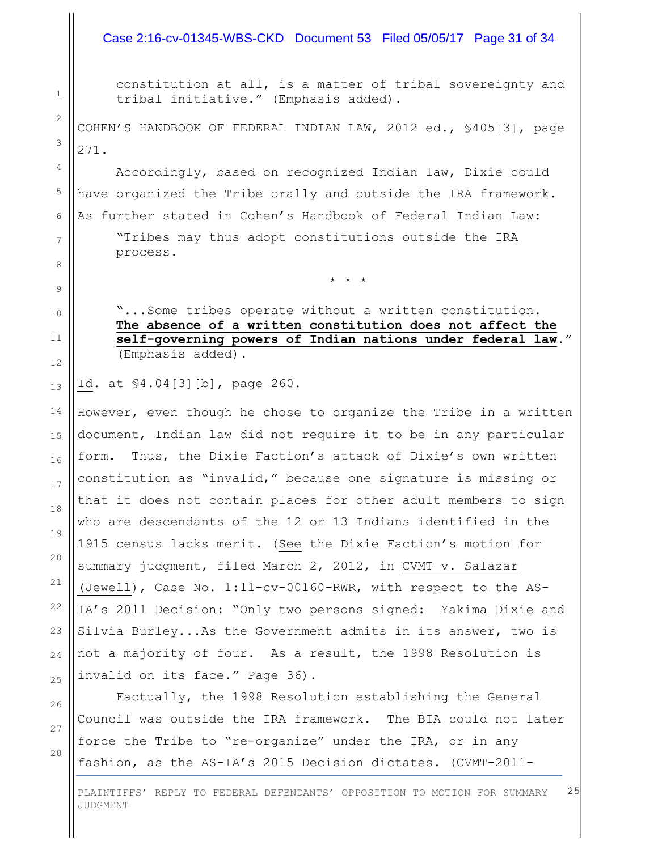#### Case 2:16-cv-01345-WBS-CKD Document 53 Filed 05/05/17 Page 31 of 34

constitution at all, is a matter of tribal sovereignty and tribal initiative." (Emphasis added).

COHEN'S HANDBOOK OF FEDERAL INDIAN LAW, 2012 ed., §405[3], page 271.

Accordingly, based on recognized Indian law, Dixie could have organized the Tribe orally and outside the IRA framework. As further stated in Cohen's Handbook of Federal Indian Law: "Tribes may thus adopt constitutions outside the IRA process.

"...Some tribes operate without a written constitution. **The absence of a written constitution does not affect the self-governing powers of Indian nations under federal law**." (Emphasis added).

\* \* \*

Id. at §4.04[3][b], page 260.

However, even though he chose to organize the Tribe in a written document, Indian law did not require it to be in any particular form. Thus, the Dixie Faction's attack of Dixie's own written constitution as "invalid," because one signature is missing or that it does not contain places for other adult members to sign who are descendants of the 12 or 13 Indians identified in the 1915 census lacks merit. (See the Dixie Faction's motion for summary judgment, filed March 2, 2012, in CVMT v. Salazar (Jewell), Case No. 1:11-cv-00160-RWR, with respect to the AS-IA's 2011 Decision: "Only two persons signed: Yakima Dixie and Silvia Burley...As the Government admits in its answer, two is not a majority of four. As a result, the 1998 Resolution is invalid on its face." Page 36).

Factually, the 1998 Resolution establishing the General Council was outside the IRA framework. The BIA could not later force the Tribe to "re-organize" under the IRA, or in any fashion, as the AS-IA's 2015 Decision dictates. (CVMT-2011-

PLAINTIFFS' REPLY TO FEDERAL DEFENDANTS' OPPOSITION TO MOTION FOR SUMMARY JUDGMENT 25

# 10 11 12 13 14 15 16 17 18 19 20 21 22

1

2

3

4

5

6

7

8

9

28

23

24

25

26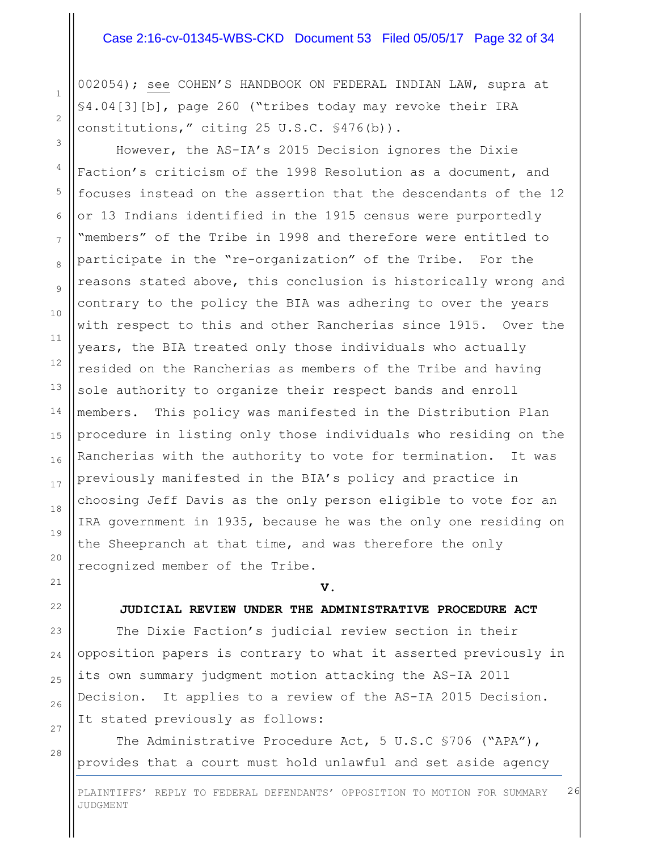#### Case 2:16-cv-01345-WBS-CKD Document 53 Filed 05/05/17 Page 32 of 34

002054); see COHEN'S HANDBOOK ON FEDERAL INDIAN LAW, supra at §4.04[3][b], page 260 ("tribes today may revoke their IRA constitutions," citing 25 U.S.C. §476(b)).

However, the AS-IA's 2015 Decision ignores the Dixie Faction's criticism of the 1998 Resolution as a document, and focuses instead on the assertion that the descendants of the 12 or 13 Indians identified in the 1915 census were purportedly "members" of the Tribe in 1998 and therefore were entitled to participate in the "re-organization" of the Tribe. For the reasons stated above, this conclusion is historically wrong and contrary to the policy the BIA was adhering to over the years with respect to this and other Rancherias since 1915. Over the years, the BIA treated only those individuals who actually resided on the Rancherias as members of the Tribe and having sole authority to organize their respect bands and enroll members. This policy was manifested in the Distribution Plan procedure in listing only those individuals who residing on the Rancherias with the authority to vote for termination. It was previously manifested in the BIA's policy and practice in choosing Jeff Davis as the only person eligible to vote for an IRA government in 1935, because he was the only one residing on the Sheepranch at that time, and was therefore the only recognized member of the Tribe.

**V.**

#### **JUDICIAL REVIEW UNDER THE ADMINISTRATIVE PROCEDURE ACT**

The Dixie Faction's judicial review section in their opposition papers is contrary to what it asserted previously in its own summary judgment motion attacking the AS-IA 2011 Decision. It applies to a review of the AS-IA 2015 Decision. It stated previously as follows:

The Administrative Procedure Act, 5 U.S.C §706 ("APA"), provides that a court must hold unlawful and set aside agency

1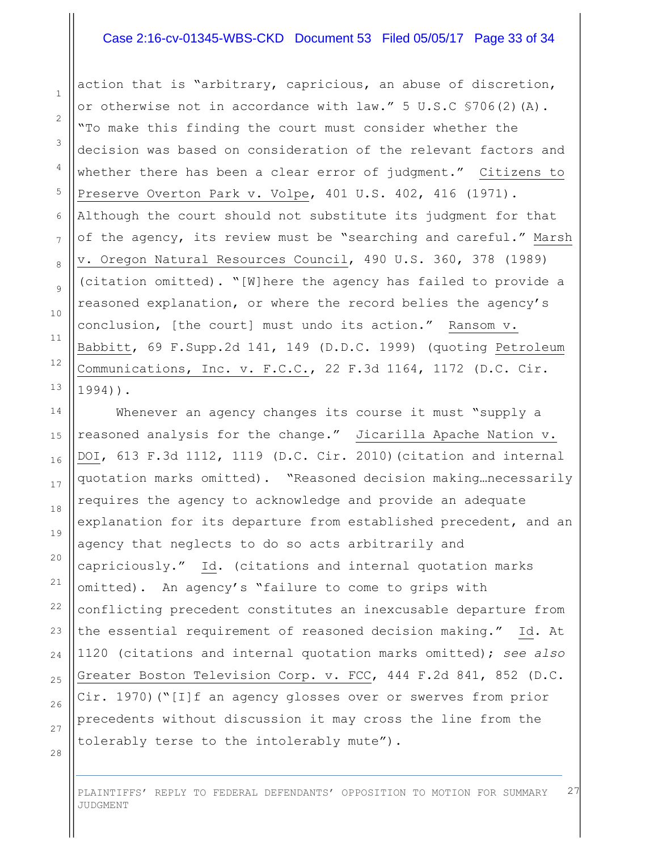#### Case 2:16-cv-01345-WBS-CKD Document 53 Filed 05/05/17 Page 33 of 34

action that is "arbitrary, capricious, an abuse of discretion, or otherwise not in accordance with law." 5 U.S.C §706(2)(A). "To make this finding the court must consider whether the decision was based on consideration of the relevant factors and whether there has been a clear error of judgment." Citizens to Preserve Overton Park v. Volpe, 401 U.S. 402, 416 (1971). Although the court should not substitute its judgment for that of the agency, its review must be "searching and careful." Marsh v. Oregon Natural Resources Council, 490 U.S. 360, 378 (1989) (citation omitted). "[W]here the agency has failed to provide a reasoned explanation, or where the record belies the agency's conclusion, [the court] must undo its action." Ransom v. Babbitt, 69 F.Supp.2d 141, 149 (D.D.C. 1999) (quoting Petroleum Communications, Inc. v. F.C.C., 22 F.3d 1164, 1172 (D.C. Cir. 1994)).

Whenever an agency changes its course it must "supply a reasoned analysis for the change." Jicarilla Apache Nation v. DOI, 613 F.3d 1112, 1119 (D.C. Cir. 2010)(citation and internal quotation marks omitted). "Reasoned decision making…necessarily requires the agency to acknowledge and provide an adequate explanation for its departure from established precedent, and an agency that neglects to do so acts arbitrarily and capriciously." Id. (citations and internal quotation marks omitted). An agency's "failure to come to grips with conflicting precedent constitutes an inexcusable departure from the essential requirement of reasoned decision making." Id. At 1120 (citations and internal quotation marks omitted); *see also* Greater Boston Television Corp. v. FCC, 444 F.2d 841, 852 (D.C. Cir. 1970)("[I]f an agency glosses over or swerves from prior precedents without discussion it may cross the line from the tolerably terse to the intolerably mute").

28

1

2

3

4

5

6

7

8

9

10

11

12

13

14

15

16

17

18

19

20

21

22

23

24

25

26

27